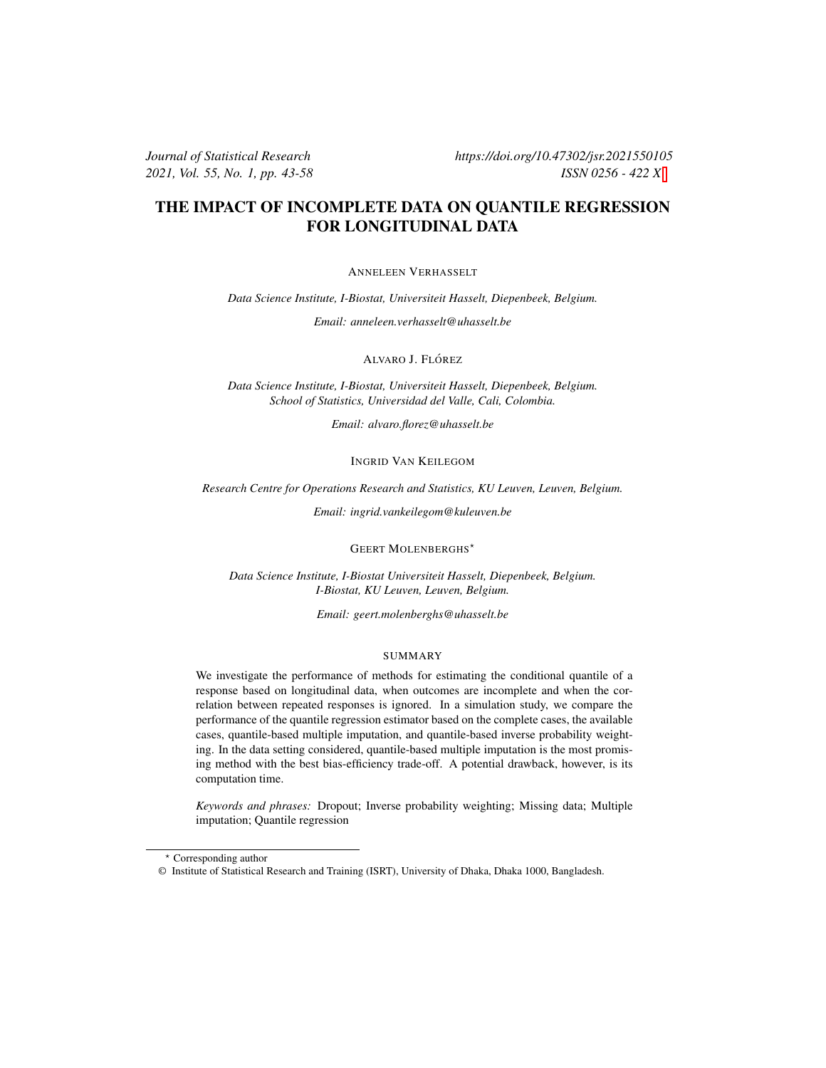### THE IMPACT OF INCOMPLETE DATA ON QUANTILE REGRESSION FOR LONGITUDINAL DATA

ANNELEEN VERHASSELT

*Data Science Institute, I-Biostat, Universiteit Hasselt, Diepenbeek, Belgium.*

*Email: anneleen.verhasselt@uhasselt.be*

ALVARO J. FLÓREZ

*Data Science Institute, I-Biostat, Universiteit Hasselt, Diepenbeek, Belgium. School of Statistics, Universidad del Valle, Cali, Colombia.*

*Email: alvaro.florez@uhasselt.be*

INGRID VAN KEILEGOM

*Research Centre for Operations Research and Statistics, KU Leuven, Leuven, Belgium.*

*Email: ingrid.vankeilegom@kuleuven.be*

**GEERT MOLENBERGHS**<sup>\*</sup>

*Data Science Institute, I-Biostat Universiteit Hasselt, Diepenbeek, Belgium. I-Biostat, KU Leuven, Leuven, Belgium.*

*Email: geert.molenberghs@uhasselt.be*

#### SUMMARY

We investigate the performance of methods for estimating the conditional quantile of a response based on longitudinal data, when outcomes are incomplete and when the correlation between repeated responses is ignored. In a simulation study, we compare the performance of the quantile regression estimator based on the complete cases, the available cases, quantile-based multiple imputation, and quantile-based inverse probability weighting. In the data setting considered, quantile-based multiple imputation is the most promising method with the best bias-efficiency trade-off. A potential drawback, however, is its computation time.

*Keywords and phrases:* Dropout; Inverse probability weighting; Missing data; Multiple imputation; Quantile regression

<sup>⋆</sup> Corresponding author

<sup>©</sup> Institute of Statistical Research and Training (ISRT), University of Dhaka, Dhaka 1000, Bangladesh.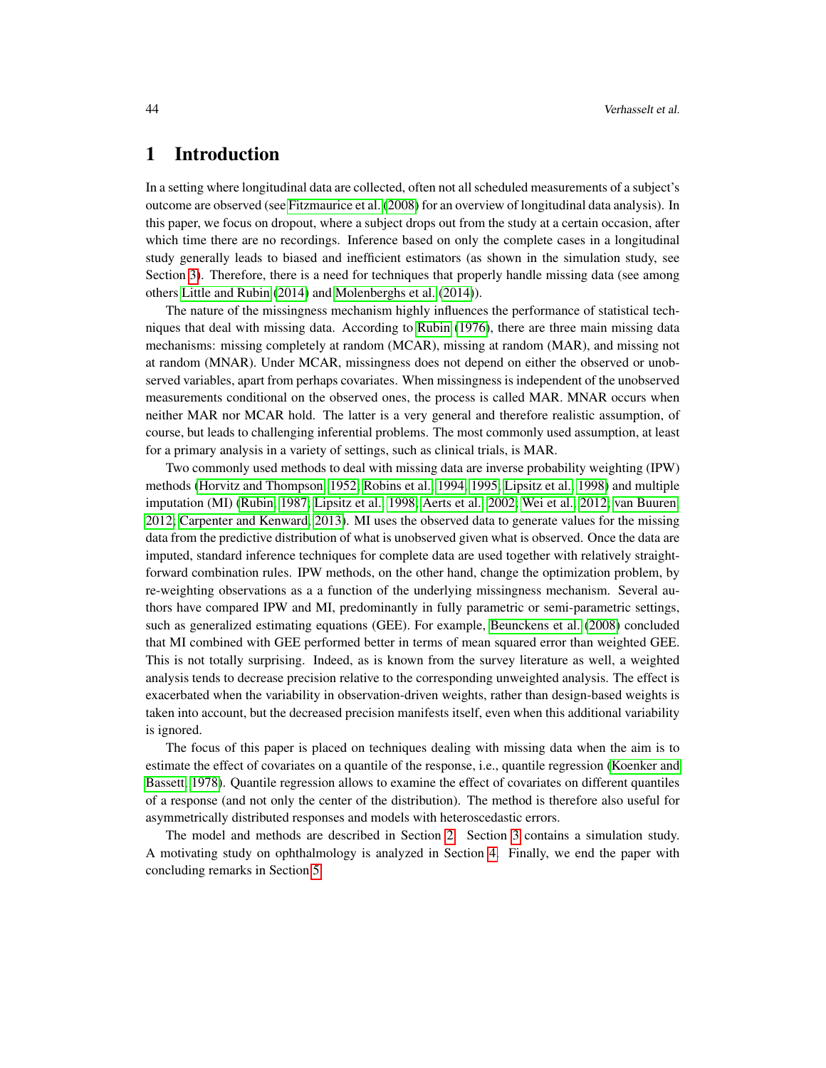# 1 Introduction

In a setting where longitudinal data are collected, often not all scheduled measurements of a subject's outcome are observed (see [Fitzmaurice et al.](#page-13-0) [\(2008\)](#page-13-0) for an overview of longitudinal data analysis). In this paper, we focus on dropout, where a subject drops out from the study at a certain occasion, after which time there are no recordings. Inference based on only the complete cases in a longitudinal study generally leads to biased and inefficient estimators (as shown in the simulation study, see Section [3\)](#page-4-0). Therefore, there is a need for techniques that properly handle missing data (see among others [Little and Rubin](#page-14-0) [\(2014\)](#page-14-0) and [Molenberghs et al.](#page-14-1) [\(2014\)](#page-14-1)).

The nature of the missingness mechanism highly influences the performance of statistical techniques that deal with missing data. According to [Rubin](#page-15-0) [\(1976\)](#page-15-0), there are three main missing data mechanisms: missing completely at random (MCAR), missing at random (MAR), and missing not at random (MNAR). Under MCAR, missingness does not depend on either the observed or unobserved variables, apart from perhaps covariates. When missingness is independent of the unobserved measurements conditional on the observed ones, the process is called MAR. MNAR occurs when neither MAR nor MCAR hold. The latter is a very general and therefore realistic assumption, of course, but leads to challenging inferential problems. The most commonly used assumption, at least for a primary analysis in a variety of settings, such as clinical trials, is MAR.

Two commonly used methods to deal with missing data are inverse probability weighting (IPW) methods [\(Horvitz and Thompson, 1952;](#page-14-2) [Robins et al., 1994,](#page-14-3) [1995;](#page-14-4) [Lipsitz et al., 1998\)](#page-14-5) and multiple imputation (MI) [\(Rubin, 1987;](#page-15-1) [Lipsitz et al., 1998;](#page-14-5) [Aerts et al., 2002;](#page-13-1) [Wei et al., 2012;](#page-15-2) [van Buuren,](#page-15-3) [2012;](#page-15-3) [Carpenter and Kenward, 2013\)](#page-13-2). MI uses the observed data to generate values for the missing data from the predictive distribution of what is unobserved given what is observed. Once the data are imputed, standard inference techniques for complete data are used together with relatively straightforward combination rules. IPW methods, on the other hand, change the optimization problem, by re-weighting observations as a a function of the underlying missingness mechanism. Several authors have compared IPW and MI, predominantly in fully parametric or semi-parametric settings, such as generalized estimating equations (GEE). For example, [Beunckens et al.](#page-13-3) [\(2008\)](#page-13-3) concluded that MI combined with GEE performed better in terms of mean squared error than weighted GEE. This is not totally surprising. Indeed, as is known from the survey literature as well, a weighted analysis tends to decrease precision relative to the corresponding unweighted analysis. The effect is exacerbated when the variability in observation-driven weights, rather than design-based weights is taken into account, but the decreased precision manifests itself, even when this additional variability is ignored.

The focus of this paper is placed on techniques dealing with missing data when the aim is to estimate the effect of covariates on a quantile of the response, i.e., quantile regression [\(Koenker and](#page-14-6) [Bassett, 1978\)](#page-14-6). Quantile regression allows to examine the effect of covariates on different quantiles of a response (and not only the center of the distribution). The method is therefore also useful for asymmetrically distributed responses and models with heteroscedastic errors.

The model and methods are described in Section [2.](#page-2-0) Section [3](#page-4-0) contains a simulation study. A motivating study on ophthalmology is analyzed in Section [4.](#page-11-0) Finally, we end the paper with concluding remarks in Section [5.](#page-12-0)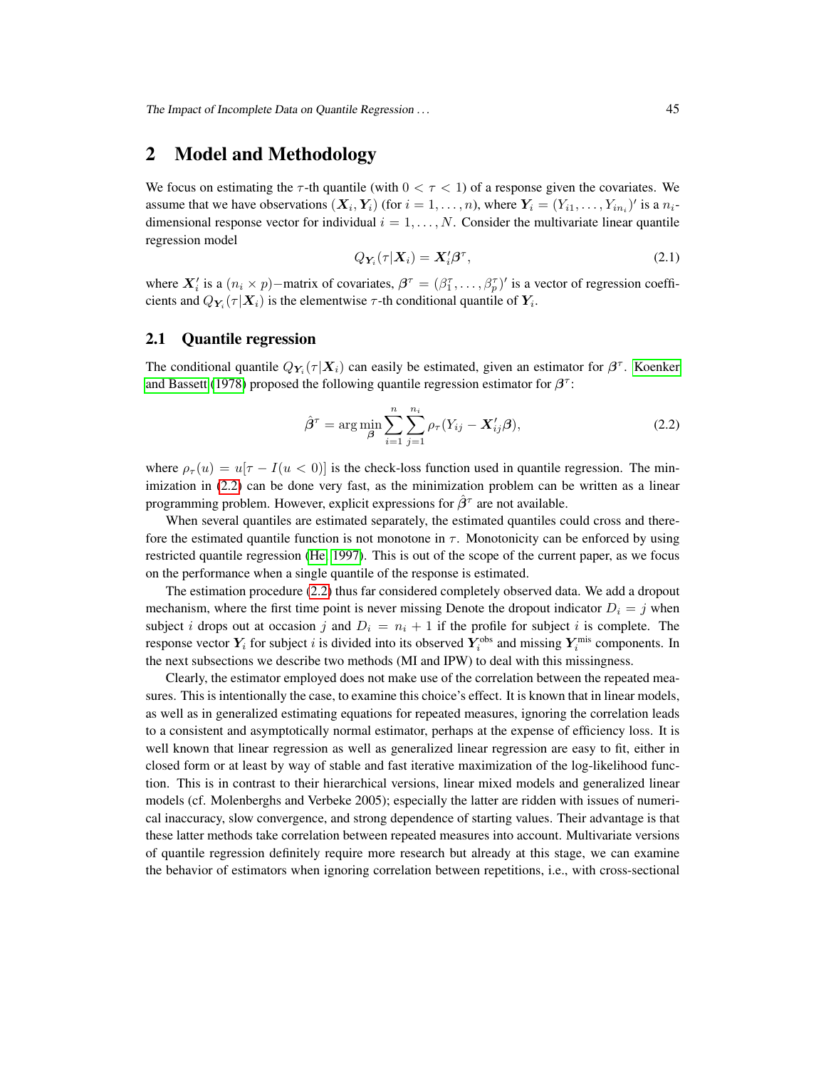### <span id="page-2-0"></span>2 Model and Methodology

We focus on estimating the  $\tau$ -th quantile (with  $0 < \tau < 1$ ) of a response given the covariates. We assume that we have observations  $(X_i, Y_i)$  (for  $i = 1, ..., n$ ), where  $Y_i = (Y_{i1}, ..., Y_{i n_i})'$  is a  $n_i$ dimensional response vector for individual  $i = 1, \ldots, N$ . Consider the multivariate linear quantile regression model

<span id="page-2-2"></span>
$$
Q_{Y_i}(\tau|\boldsymbol{X}_i) = \boldsymbol{X}_i' \boldsymbol{\beta}^\tau,\tag{2.1}
$$

where  $X'_i$  is a  $(n_i \times p)$  – matrix of covariates,  $\beta^{\tau} = (\beta_1^{\tau}, \dots, \beta_p^{\tau})'$  is a vector of regression coefficients and  $Q_{Y_i}(\tau|\boldsymbol{X}_i)$  is the elementwise  $\tau$ -th conditional quantile of  $Y_i$ .

#### 2.1 Quantile regression

The conditional quantile  $Q_{Y_i}(\tau | X_i)$  can easily be estimated, given an estimator for  $\beta^{\tau}$ . [Koenker](#page-14-6) [and Bassett](#page-14-6) [\(1978\)](#page-14-6) proposed the following quantile regression estimator for  $\beta^{\tau}$ :

<span id="page-2-1"></span>
$$
\hat{\beta}^{\tau} = \arg \min_{\beta} \sum_{i=1}^{n} \sum_{j=1}^{n_i} \rho_{\tau} (Y_{ij} - \mathbf{X}_{ij}^{\prime} \boldsymbol{\beta}), \qquad (2.2)
$$

where  $\rho_{\tau}(u) = u[\tau - I(u < 0)]$  is the check-loss function used in quantile regression. The minimization in  $(2.2)$  can be done very fast, as the minimization problem can be written as a linear programming problem. However, explicit expressions for  $\hat{\beta}^{\tau}$  are not available.

When several quantiles are estimated separately, the estimated quantiles could cross and therefore the estimated quantile function is not monotone in  $\tau$ . Monotonicity can be enforced by using restricted quantile regression [\(He, 1997\)](#page-14-7). This is out of the scope of the current paper, as we focus on the performance when a single quantile of the response is estimated.

The estimation procedure [\(2.2\)](#page-2-1) thus far considered completely observed data. We add a dropout mechanism, where the first time point is never missing Denote the dropout indicator  $D_i = j$  when subject i drops out at occasion j and  $D_i = n_i + 1$  if the profile for subject i is complete. The response vector  $Y_i$  for subject i is divided into its observed  $Y_i^{\text{obs}}$  and missing  $Y_i^{\text{mis}}$  components. In the next subsections we describe two methods (MI and IPW) to deal with this missingness.

Clearly, the estimator employed does not make use of the correlation between the repeated measures. This is intentionally the case, to examine this choice's effect. It is known that in linear models, as well as in generalized estimating equations for repeated measures, ignoring the correlation leads to a consistent and asymptotically normal estimator, perhaps at the expense of efficiency loss. It is well known that linear regression as well as generalized linear regression are easy to fit, either in closed form or at least by way of stable and fast iterative maximization of the log-likelihood function. This is in contrast to their hierarchical versions, linear mixed models and generalized linear models (cf. Molenberghs and Verbeke 2005); especially the latter are ridden with issues of numerical inaccuracy, slow convergence, and strong dependence of starting values. Their advantage is that these latter methods take correlation between repeated measures into account. Multivariate versions of quantile regression definitely require more research but already at this stage, we can examine the behavior of estimators when ignoring correlation between repetitions, i.e., with cross-sectional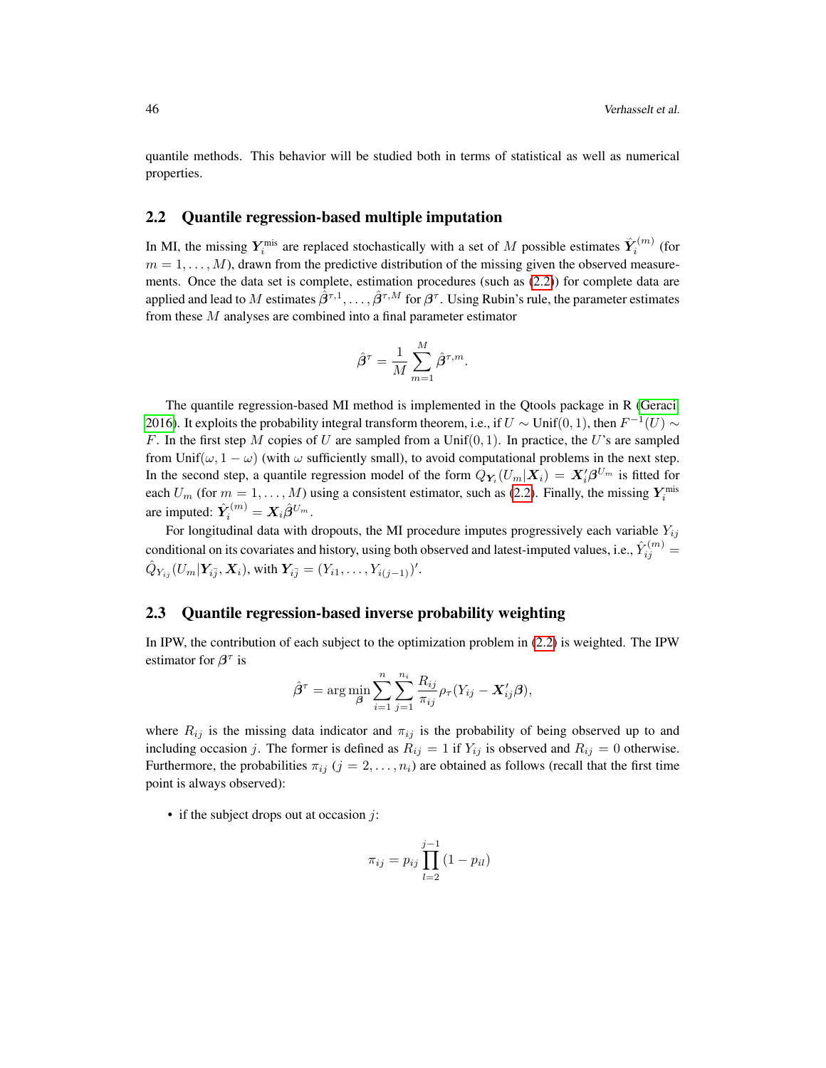quantile methods. This behavior will be studied both in terms of statistical as well as numerical properties.

#### 2.2 Quantile regression-based multiple imputation

In MI, the missing  $Y_i^{\text{mis}}$  are replaced stochastically with a set of M possible estimates  $\hat{Y}_i^{(m)}$  (for  $m = 1, \ldots, M$ , drawn from the predictive distribution of the missing given the observed measurements. Once the data set is complete, estimation procedures (such as [\(2.2\)](#page-2-1)) for complete data are applied and lead to M estimates  $\hat{\beta}^{\tau,1},\ldots,\hat{\beta}^{\tau,M}$  for  $\beta^\tau$ . Using Rubin's rule, the parameter estimates from these M analyses are combined into a final parameter estimator

$$
\hat{\boldsymbol{\beta}}^{\tau} = \frac{1}{M} \sum_{m=1}^{M} \hat{\boldsymbol{\beta}}^{\tau,m}.
$$

The quantile regression-based MI method is implemented in the Qtools package in R [\(Geraci,](#page-13-4) [2016\)](#page-13-4). It exploits the probability integral transform theorem, i.e., if  $U \sim \text{Unif}(0, 1)$ , then  $F^{-1}(U) \sim$ F. In the first step M copies of U are sampled from a Unif(0, 1). In practice, the U's are sampled from Unif( $\omega$ , 1 –  $\omega$ ) (with  $\omega$  sufficiently small), to avoid computational problems in the next step. In the second step, a quantile regression model of the form  $Q_{Y_i}(U_m|\boldsymbol{X}_i) = \boldsymbol{X}_i'\boldsymbol{\beta}^{U_m}$  is fitted for each  $U_m$  (for  $m = 1, ..., M$ ) using a consistent estimator, such as [\(2.2\)](#page-2-1). Finally, the missing  $Y_i^{\text{mis}}$ are imputed:  $\hat{Y}_i^{(m)} = X_i \hat{\beta}^{U_m}$ .

For longitudinal data with dropouts, the MI procedure imputes progressively each variable  $Y_{ij}$ conditional on its covariates and history, using both observed and latest-imputed values, i.e.,  $\hat{Y}_{ij}^{(m)}$   $=$  $\hat{Q}_{Y_{ij}}(U_m|\boldsymbol{Y}_{i\bar{j}},\boldsymbol{X}_i),$  with  $\boldsymbol{Y}_{i\bar{j}}=(Y_{i1},\ldots,Y_{i(j-1)})'.$ 

#### 2.3 Quantile regression-based inverse probability weighting

In IPW, the contribution of each subject to the optimization problem in [\(2.2\)](#page-2-1) is weighted. The IPW estimator for  $\beta^{\tau}$  is

$$
\hat{\beta}^{\tau} = \arg \min_{\beta} \sum_{i=1}^{n} \sum_{j=1}^{n_i} \frac{R_{ij}}{\pi_{ij}} \rho_{\tau} (Y_{ij} - \mathbf{X}_{ij}^{\prime} \boldsymbol{\beta}),
$$

where  $R_{ij}$  is the missing data indicator and  $\pi_{ij}$  is the probability of being observed up to and including occasion j. The former is defined as  $R_{ij} = 1$  if  $Y_{ij}$  is observed and  $R_{ij} = 0$  otherwise. Furthermore, the probabilities  $\pi_{ij}$  ( $j = 2, \ldots, n_i$ ) are obtained as follows (recall that the first time point is always observed):

• if the subject drops out at occasion  $\dot{\jmath}$ :

$$
\pi_{ij} = p_{ij} \prod_{l=2}^{j-1} (1 - p_{il})
$$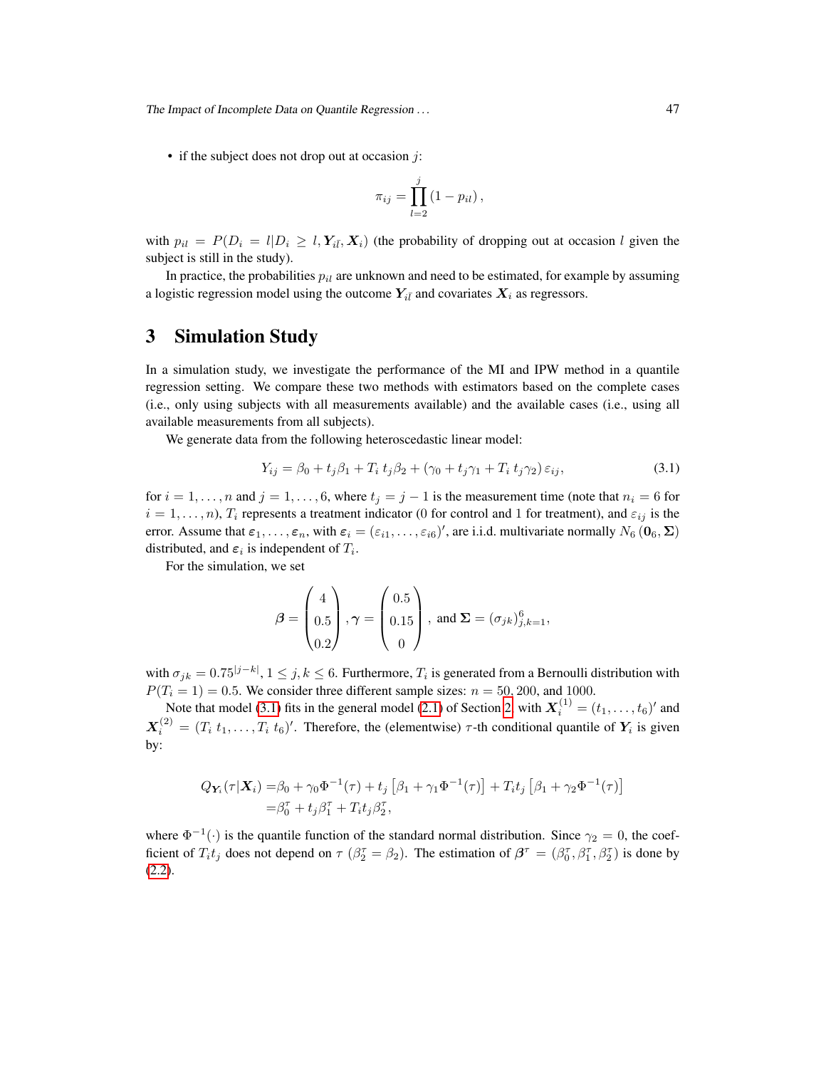The Impact of Incomplete Data on Quantile Regression . . . 47

• if the subject does not drop out at occasion  $j$ :

$$
\pi_{ij} = \prod_{l=2}^j (1 - p_{il}),
$$

with  $p_{il} = P(D_i = l | D_i \ge l, Y_{i\bar{i}}, X_i)$  (the probability of dropping out at occasion l given the subject is still in the study).

In practice, the probabilities  $p_{il}$  are unknown and need to be estimated, for example by assuming a logistic regression model using the outcome  $Y_{i\bar{l}}$  and covariates  $X_i$  as regressors.

# <span id="page-4-0"></span>3 Simulation Study

In a simulation study, we investigate the performance of the MI and IPW method in a quantile regression setting. We compare these two methods with estimators based on the complete cases (i.e., only using subjects with all measurements available) and the available cases (i.e., using all available measurements from all subjects).

We generate data from the following heteroscedastic linear model:

<span id="page-4-1"></span>
$$
Y_{ij} = \beta_0 + t_j \beta_1 + T_i t_j \beta_2 + (\gamma_0 + t_j \gamma_1 + T_i t_j \gamma_2) \varepsilon_{ij},
$$
\n(3.1)

for  $i = 1, \ldots, n$  and  $j = 1, \ldots, 6$ , where  $t_j = j - 1$  is the measurement time (note that  $n_i = 6$  for  $i = 1, \ldots, n$ ,  $T_i$  represents a treatment indicator (0 for control and 1 for treatment), and  $\varepsilon_{ij}$  is the error. Assume that  $\varepsilon_1,\ldots,\varepsilon_n$ , with  $\varepsilon_i = (\varepsilon_{i1},\ldots,\varepsilon_{i6})'$ , are i.i.d. multivariate normally  $N_6$  ( $0_6$ ,  $\Sigma$ ) distributed, and  $\varepsilon_i$  is independent of  $T_i$ .

For the simulation, we set

$$
\boldsymbol{\beta} = \begin{pmatrix} 4 \\ 0.5 \\ 0.2 \end{pmatrix}, \boldsymbol{\gamma} = \begin{pmatrix} 0.5 \\ 0.15 \\ 0 \end{pmatrix}, \text{ and } \boldsymbol{\Sigma} = (\sigma_{jk})_{j,k=1}^6,
$$

with  $\sigma_{jk} = 0.75^{|j-k|}, 1 \le j, k \le 6$ . Furthermore,  $T_i$  is generated from a Bernoulli distribution with  $P(T_i = 1) = 0.5$ . We consider three different sample sizes:  $n = 50, 200$ , and 1000.

Note that model [\(3.1\)](#page-4-1) fits in the general model [\(2.1\)](#page-2-2) of Section [2,](#page-2-0) with  $X_i^{(1)} = (t_1, \ldots, t_6)'$  and  $\mathbf{X}_i^{(2)} = (T_i \ t_1, \dots, T_i \ t_6)'$ . Therefore, the (elementwise)  $\tau$ -th conditional quantile of  $\mathbf{Y}_i$  is given by:

$$
Q_{Y_i}(\tau | X_i) = \beta_0 + \gamma_0 \Phi^{-1}(\tau) + t_j \left[ \beta_1 + \gamma_1 \Phi^{-1}(\tau) \right] + T_i t_j \left[ \beta_1 + \gamma_2 \Phi^{-1}(\tau) \right]
$$
  
=  $\beta_0^{\tau} + t_j \beta_1^{\tau} + T_i t_j \beta_2^{\tau}$ ,

where  $\Phi^{-1}(\cdot)$  is the quantile function of the standard normal distribution. Since  $\gamma_2 = 0$ , the coefficient of  $T_i t_j$  does not depend on  $\tau$  ( $\beta_2^{\tau} = \beta_2$ ). The estimation of  $\beta^{\tau} = (\beta_0^{\tau}, \beta_1^{\tau}, \beta_2^{\tau})$  is done by [\(2.2\)](#page-2-1).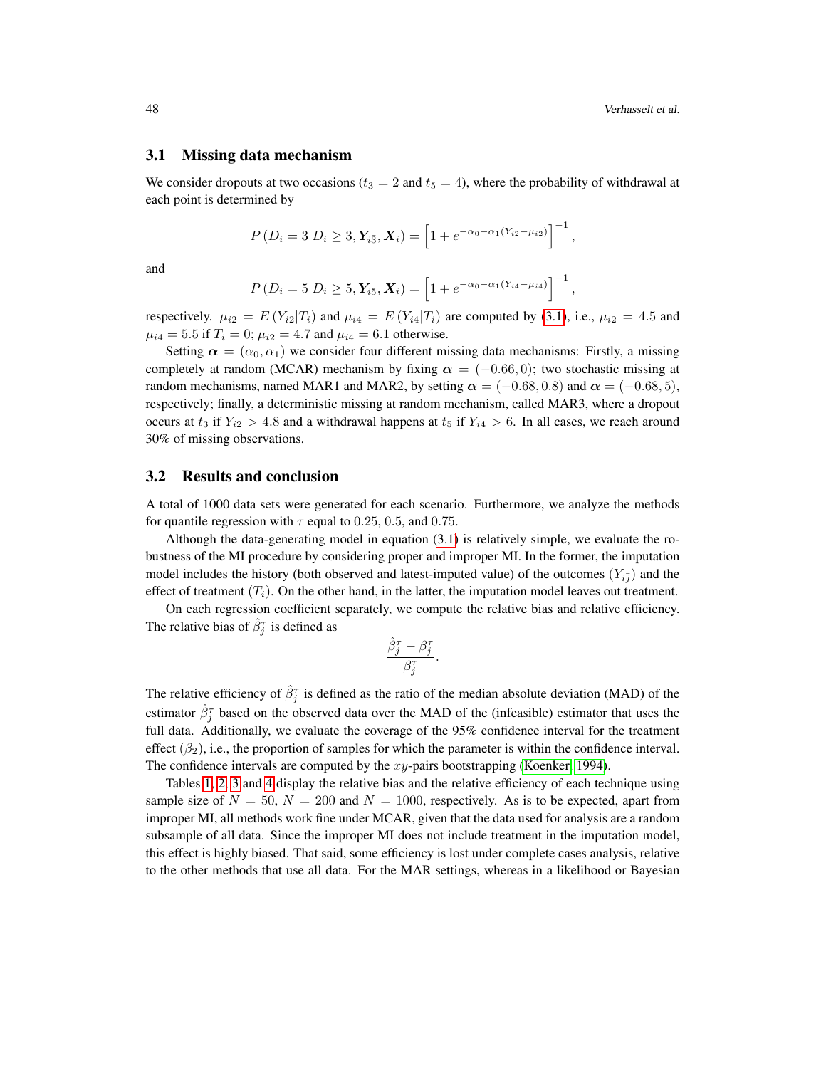#### 3.1 Missing data mechanism

We consider dropouts at two occasions ( $t_3 = 2$  and  $t_5 = 4$ ), where the probability of withdrawal at each point is determined by

$$
P(D_i=3|D_i\geq 3,\mathbf{Y}_{i\overline{3}},\mathbf{X}_i)=\left[1+e^{-\alpha_0-\alpha_1(Y_{i2}-\mu_{i2})}\right]^{-1},
$$

and

$$
P(D_i = 5|D_i \ge 5, \mathbf{Y}_{i\bar{5}}, \mathbf{X}_i) = \left[1 + e^{-\alpha_0 - \alpha_1(Y_{i4} - \mu_{i4})}\right]^{-1},
$$

respectively.  $\mu_{i2} = E(Y_{i2}|T_i)$  and  $\mu_{i4} = E(Y_{i4}|T_i)$  are computed by [\(3.1\)](#page-4-1), i.e.,  $\mu_{i2} = 4.5$  and  $\mu_{i4} = 5.5$  if  $T_i = 0$ ;  $\mu_{i2} = 4.7$  and  $\mu_{i4} = 6.1$  otherwise.

Setting  $\alpha = (\alpha_0, \alpha_1)$  we consider four different missing data mechanisms: Firstly, a missing completely at random (MCAR) mechanism by fixing  $\alpha = (-0.66, 0)$ ; two stochastic missing at random mechanisms, named MAR1 and MAR2, by setting  $\alpha = (-0.68, 0.8)$  and  $\alpha = (-0.68, 5)$ , respectively; finally, a deterministic missing at random mechanism, called MAR3, where a dropout occurs at  $t_3$  if  $Y_{i2} > 4.8$  and a withdrawal happens at  $t_5$  if  $Y_{i4} > 6$ . In all cases, we reach around 30% of missing observations.

#### 3.2 Results and conclusion

A total of 1000 data sets were generated for each scenario. Furthermore, we analyze the methods for quantile regression with  $\tau$  equal to 0.25, 0.5, and 0.75.

Although the data-generating model in equation [\(3.1\)](#page-4-1) is relatively simple, we evaluate the robustness of the MI procedure by considering proper and improper MI. In the former, the imputation model includes the history (both observed and latest-imputed value) of the outcomes  $(Y_{i,j}^-)$  and the effect of treatment  $(T_i)$ . On the other hand, in the latter, the imputation model leaves out treatment.

On each regression coefficient separately, we compute the relative bias and relative efficiency. The relative bias of  $\hat{\beta}_{j}^{\tau}$  is defined as

$$
\frac{\hat{\beta}_j^{\tau} - \beta_j^{\tau}}{\beta_j^{\tau}}.
$$

The relative efficiency of  $\hat{\beta}_j^{\tau}$  is defined as the ratio of the median absolute deviation (MAD) of the estimator  $\hat{\beta}_{j}^{\tau}$  based on the observed data over the MAD of the (infeasible) estimator that uses the full data. Additionally, we evaluate the coverage of the 95% confidence interval for the treatment effect  $(\beta_2)$ , i.e., the proportion of samples for which the parameter is within the confidence interval. The confidence intervals are computed by the  $xy$ -pairs bootstrapping [\(Koenker, 1994\)](#page-14-8).

Tables [1,](#page-6-0) [2,](#page-7-0) [3](#page-8-0) and [4](#page-9-0) display the relative bias and the relative efficiency of each technique using sample size of  $N = 50$ ,  $N = 200$  and  $N = 1000$ , respectively. As is to be expected, apart from improper MI, all methods work fine under MCAR, given that the data used for analysis are a random subsample of all data. Since the improper MI does not include treatment in the imputation model, this effect is highly biased. That said, some efficiency is lost under complete cases analysis, relative to the other methods that use all data. For the MAR settings, whereas in a likelihood or Bayesian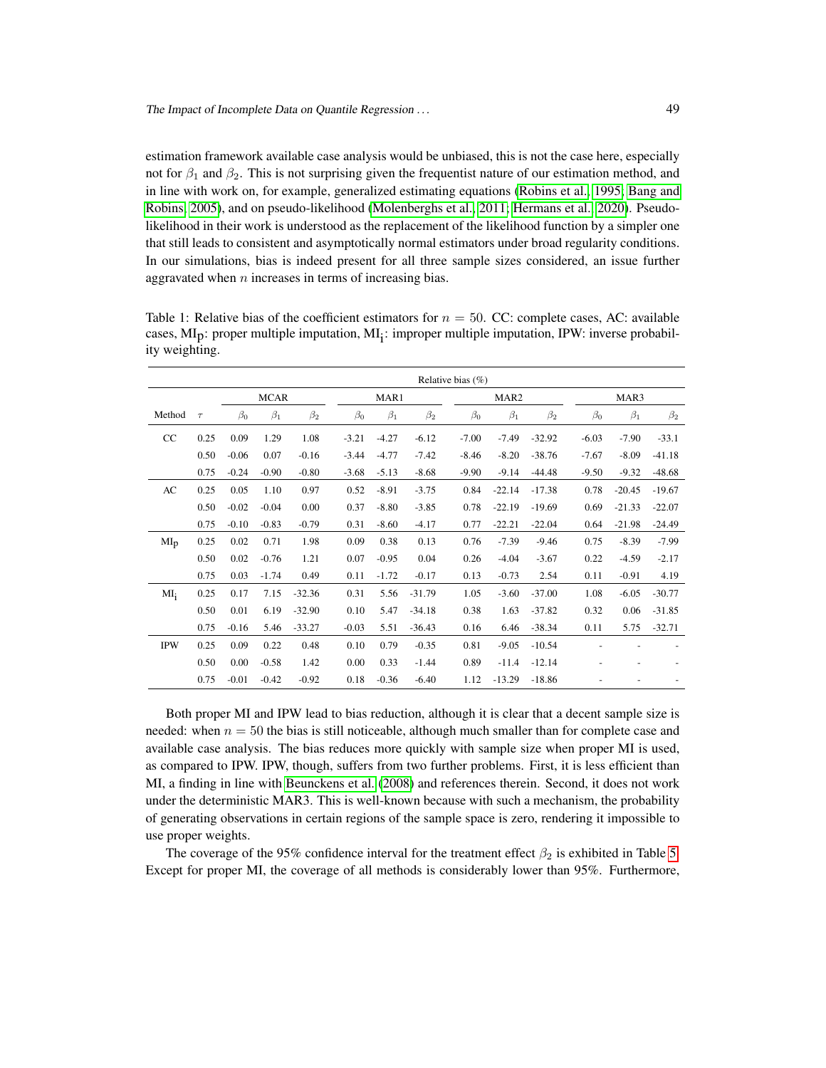estimation framework available case analysis would be unbiased, this is not the case here, especially not for  $\beta_1$  and  $\beta_2$ . This is not surprising given the frequentist nature of our estimation method, and in line with work on, for example, generalized estimating equations [\(Robins et al., 1995;](#page-14-4) [Bang and](#page-13-5) [Robins, 2005\)](#page-13-5), and on pseudo-likelihood [\(Molenberghs et al., 2011;](#page-14-9) [Hermans et al., 2020\)](#page-14-10). Pseudolikelihood in their work is understood as the replacement of the likelihood function by a simpler one that still leads to consistent and asymptotically normal estimators under broad regularity conditions. In our simulations, bias is indeed present for all three sample sizes considered, an issue further aggravated when  $n$  increases in terms of increasing bias.

|                 |        |           |             |           |           |           |           | Relative bias $(\%)$ |                  |           |           |           |           |
|-----------------|--------|-----------|-------------|-----------|-----------|-----------|-----------|----------------------|------------------|-----------|-----------|-----------|-----------|
|                 |        |           | <b>MCAR</b> |           |           | MAR1      |           |                      | MAR <sub>2</sub> |           |           | MAR3      |           |
| Method          | $\tau$ | $\beta_0$ | $\beta_1$   | $\beta_2$ | $\beta_0$ | $\beta_1$ | $\beta_2$ | $\beta_0$            | $\beta_1$        | $\beta_2$ | $\beta_0$ | $\beta_1$ | $\beta_2$ |
| CC              | 0.25   | 0.09      | 1.29        | 1.08      | $-3.21$   | $-4.27$   | $-6.12$   | $-7.00$              | $-7.49$          | $-32.92$  | $-6.03$   | $-7.90$   | $-33.1$   |
|                 | 0.50   | $-0.06$   | 0.07        | $-0.16$   | $-3.44$   | $-4.77$   | $-7.42$   | $-8.46$              | $-8.20$          | $-38.76$  | $-7.67$   | $-8.09$   | $-41.18$  |
|                 | 0.75   | $-0.24$   | $-0.90$     | $-0.80$   | $-3.68$   | $-5.13$   | $-8.68$   | $-9.90$              | $-9.14$          | $-44.48$  | $-9.50$   | $-9.32$   | $-48.68$  |
| AC              | 0.25   | 0.05      | 1.10        | 0.97      | 0.52      | $-8.91$   | $-3.75$   | 0.84                 | $-22.14$         | $-17.38$  | 0.78      | $-20.45$  | $-19.67$  |
|                 | 0.50   | $-0.02$   | $-0.04$     | 0.00      | 0.37      | $-8.80$   | $-3.85$   | 0.78                 | $-22.19$         | $-19.69$  | 0.69      | $-21.33$  | $-22.07$  |
|                 | 0.75   | $-0.10$   | $-0.83$     | $-0.79$   | 0.31      | $-8.60$   | $-4.17$   | 0.77                 | $-22.21$         | $-22.04$  | 0.64      | $-21.98$  | $-24.49$  |
| MI <sub>D</sub> | 0.25   | 0.02      | 0.71        | 1.98      | 0.09      | 0.38      | 0.13      | 0.76                 | $-7.39$          | $-9.46$   | 0.75      | $-8.39$   | $-7.99$   |
|                 | 0.50   | 0.02      | $-0.76$     | 1.21      | 0.07      | $-0.95$   | 0.04      | 0.26                 | $-4.04$          | $-3.67$   | 0.22      | $-4.59$   | $-2.17$   |
|                 | 0.75   | 0.03      | $-1.74$     | 0.49      | 0.11      | $-1.72$   | $-0.17$   | 0.13                 | $-0.73$          | 2.54      | 0.11      | $-0.91$   | 4.19      |
| $MI_i$          | 0.25   | 0.17      | 7.15        | $-32.36$  | 0.31      | 5.56      | $-31.79$  | 1.05                 | $-3.60$          | $-37.00$  | 1.08      | $-6.05$   | $-30.77$  |
|                 | 0.50   | 0.01      | 6.19        | $-32.90$  | 0.10      | 5.47      | $-34.18$  | 0.38                 | 1.63             | $-37.82$  | 0.32      | 0.06      | $-31.85$  |
|                 | 0.75   | $-0.16$   | 5.46        | $-33.27$  | $-0.03$   | 5.51      | $-36.43$  | 0.16                 | 6.46             | $-38.34$  | 0.11      | 5.75      | $-32.71$  |
| <b>IPW</b>      | 0.25   | 0.09      | 0.22        | 0.48      | 0.10      | 0.79      | $-0.35$   | 0.81                 | $-9.05$          | $-10.54$  |           |           |           |
|                 | 0.50   | 0.00      | $-0.58$     | 1.42      | 0.00      | 0.33      | $-1.44$   | 0.89                 | $-11.4$          | $-12.14$  |           |           |           |
|                 | 0.75   | $-0.01$   | $-0.42$     | $-0.92$   | 0.18      | $-0.36$   | $-6.40$   | 1.12                 | $-13.29$         | $-18.86$  |           |           |           |

<span id="page-6-0"></span>Table 1: Relative bias of the coefficient estimators for  $n = 50$ . CC: complete cases, AC: available cases, MI<sub>p</sub>: proper multiple imputation, MI<sub>i</sub>: improper multiple imputation, IPW: inverse probability weighting.

Both proper MI and IPW lead to bias reduction, although it is clear that a decent sample size is needed: when  $n = 50$  the bias is still noticeable, although much smaller than for complete case and available case analysis. The bias reduces more quickly with sample size when proper MI is used, as compared to IPW. IPW, though, suffers from two further problems. First, it is less efficient than MI, a finding in line with [Beunckens et al.](#page-13-3) [\(2008\)](#page-13-3) and references therein. Second, it does not work under the deterministic MAR3. This is well-known because with such a mechanism, the probability of generating observations in certain regions of the sample space is zero, rendering it impossible to use proper weights.

The coverage of the 95% confidence interval for the treatment effect  $\beta_2$  is exhibited in Table [5.](#page-10-0) Except for proper MI, the coverage of all methods is considerably lower than 95%. Furthermore,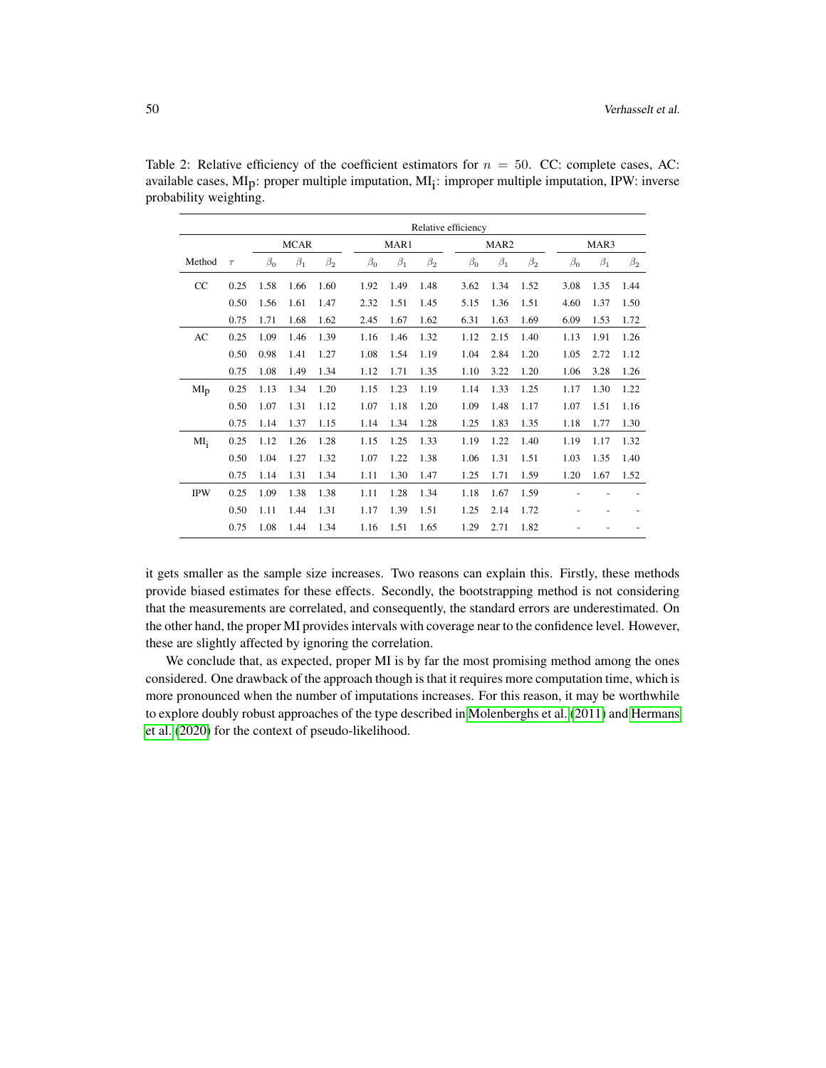|            |        |           |             |           |           |           | Relative efficiency |           |                  |           |           |           |           |
|------------|--------|-----------|-------------|-----------|-----------|-----------|---------------------|-----------|------------------|-----------|-----------|-----------|-----------|
|            |        |           | <b>MCAR</b> |           |           | MAR1      |                     |           | MAR <sub>2</sub> |           |           | MAR3      |           |
| Method     | $\tau$ | $\beta_0$ | $\beta_1$   | $\beta_2$ | $\beta_0$ | $\beta_1$ | $\beta_2$           | $\beta_0$ | $\beta_1$        | $\beta_2$ | $\beta_0$ | $\beta_1$ | $\beta_2$ |
| CC         | 0.25   | 1.58      | 1.66        | 1.60      | 1.92      | 1.49      | 1.48                | 3.62      | 1.34             | 1.52      | 3.08      | 1.35      | 1.44      |
|            | 0.50   | 1.56      | 1.61        | 1.47      | 2.32      | 1.51      | 1.45                | 5.15      | 1.36             | 1.51      | 4.60      | 1.37      | 1.50      |
|            | 0.75   | 1.71      | 1.68        | 1.62      | 2.45      | 1.67      | 1.62                | 6.31      | 1.63             | 1.69      | 6.09      | 1.53      | 1.72      |
| AC         | 0.25   | 1.09      | 1.46        | 1.39      | 1.16      | 1.46      | 1.32                | 1.12      | 2.15             | 1.40      | 1.13      | 1.91      | 1.26      |
|            | 0.50   | 0.98      | 1.41        | 1.27      | 1.08      | 1.54      | 1.19                | 1.04      | 2.84             | 1.20      | 1.05      | 2.72      | 1.12      |
|            | 0.75   | 1.08      | 1.49        | 1.34      | 1.12      | 1.71      | 1.35                | 1.10      | 3.22             | 1.20      | 1.06      | 3.28      | 1.26      |
| $MI_D$     | 0.25   | 1.13      | 1.34        | 1.20      | 1.15      | 1.23      | 1.19                | 1.14      | 1.33             | 1.25      | 1.17      | 1.30      | 1.22      |
|            | 0.50   | 1.07      | 1.31        | 1.12      | 1.07      | 1.18      | 1.20                | 1.09      | 1.48             | 1.17      | 1.07      | 1.51      | 1.16      |
|            | 0.75   | 1.14      | 1.37        | 1.15      | 1.14      | 1.34      | 1.28                | 1.25      | 1.83             | 1.35      | 1.18      | 1.77      | 1.30      |
| $MI_i$     | 0.25   | 1.12      | 1.26        | 1.28      | 1.15      | 1.25      | 1.33                | 1.19      | 1.22             | 1.40      | 1.19      | 1.17      | 1.32      |
|            | 0.50   | 1.04      | 1.27        | 1.32      | 1.07      | 1.22      | 1.38                | 1.06      | 1.31             | 1.51      | 1.03      | 1.35      | 1.40      |
|            | 0.75   | 1.14      | 1.31        | 1.34      | 1.11      | 1.30      | 1.47                | 1.25      | 1.71             | 1.59      | 1.20      | 1.67      | 1.52      |
| <b>IPW</b> | 0.25   | 1.09      | 1.38        | 1.38      | 1.11      | 1.28      | 1.34                | 1.18      | 1.67             | 1.59      |           |           |           |
|            | 0.50   | 1.11      | 1.44        | 1.31      | 1.17      | 1.39      | 1.51                | 1.25      | 2.14             | 1.72      |           |           |           |
|            | 0.75   | 1.08      | 1.44        | 1.34      | 1.16      | 1.51      | 1.65                | 1.29      | 2.71             | 1.82      |           |           |           |

<span id="page-7-0"></span>Table 2: Relative efficiency of the coefficient estimators for  $n = 50$ . CC: complete cases, AC: available cases,  $MI<sub>p</sub>$ : proper multiple imputation,  $MI<sub>i</sub>$ : improper multiple imputation, IPW: inverse probability weighting.

it gets smaller as the sample size increases. Two reasons can explain this. Firstly, these methods provide biased estimates for these effects. Secondly, the bootstrapping method is not considering that the measurements are correlated, and consequently, the standard errors are underestimated. On the other hand, the proper MI provides intervals with coverage near to the confidence level. However, these are slightly affected by ignoring the correlation.

We conclude that, as expected, proper MI is by far the most promising method among the ones considered. One drawback of the approach though is that it requires more computation time, which is more pronounced when the number of imputations increases. For this reason, it may be worthwhile to explore doubly robust approaches of the type described in [Molenberghs et al.](#page-14-9) [\(2011\)](#page-14-9) and [Hermans](#page-14-10) [et al.](#page-14-10) [\(2020\)](#page-14-10) for the context of pseudo-likelihood.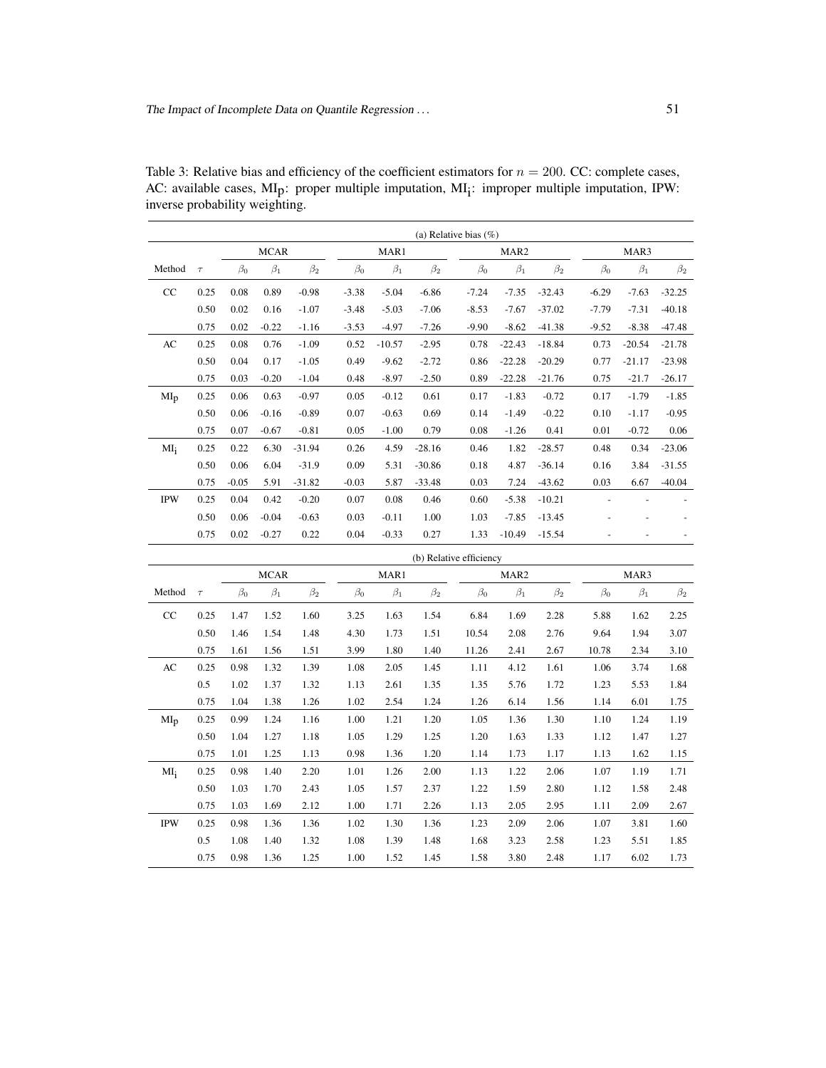|                 |        | (a) Relative bias $(\%)$ |             |           |           |           |           |           |                  |           |           |           |           |
|-----------------|--------|--------------------------|-------------|-----------|-----------|-----------|-----------|-----------|------------------|-----------|-----------|-----------|-----------|
|                 |        |                          | <b>MCAR</b> |           |           | MAR1      |           |           | MAR <sub>2</sub> |           |           | MAR3      |           |
| Method          | $\tau$ | $\beta_0$                | $\beta_1$   | $\beta_2$ | $\beta_0$ | $\beta_1$ | $\beta_2$ | $\beta_0$ | $\beta_1$        | $\beta_2$ | $\beta_0$ | $\beta_1$ | $\beta_2$ |
| CC              | 0.25   | 0.08                     | 0.89        | $-0.98$   | $-3.38$   | $-5.04$   | $-6.86$   | $-7.24$   | $-7.35$          | $-32.43$  | $-6.29$   | $-7.63$   | $-32.25$  |
|                 | 0.50   | 0.02                     | 0.16        | $-1.07$   | $-3.48$   | $-5.03$   | $-7.06$   | $-8.53$   | $-7.67$          | $-37.02$  | $-7.79$   | $-7.31$   | $-40.18$  |
|                 | 0.75   | 0.02                     | $-0.22$     | $-1.16$   | $-3.53$   | $-4.97$   | $-7.26$   | $-9.90$   | $-8.62$          | $-41.38$  | $-9.52$   | $-8.38$   | $-47.48$  |
| AC              | 0.25   | 0.08                     | 0.76        | $-1.09$   | 0.52      | $-10.57$  | $-2.95$   | 0.78      | $-22.43$         | $-18.84$  | 0.73      | $-20.54$  | $-21.78$  |
|                 | 0.50   | 0.04                     | 0.17        | $-1.05$   | 0.49      | $-9.62$   | $-2.72$   | 0.86      | $-22.28$         | $-20.29$  | 0.77      | $-21.17$  | $-23.98$  |
|                 | 0.75   | 0.03                     | $-0.20$     | $-1.04$   | 0.48      | $-8.97$   | $-2.50$   | 0.89      | $-22.28$         | $-21.76$  | 0.75      | $-21.7$   | $-26.17$  |
| MI <sub>p</sub> | 0.25   | 0.06                     | 0.63        | $-0.97$   | 0.05      | $-0.12$   | 0.61      | 0.17      | $-1.83$          | $-0.72$   | 0.17      | $-1.79$   | $-1.85$   |
|                 | 0.50   | 0.06                     | $-0.16$     | $-0.89$   | 0.07      | $-0.63$   | 0.69      | 0.14      | $-1.49$          | $-0.22$   | 0.10      | $-1.17$   | $-0.95$   |
|                 | 0.75   | 0.07                     | $-0.67$     | $-0.81$   | 0.05      | $-1.00$   | 0.79      | 0.08      | $-1.26$          | 0.41      | 0.01      | $-0.72$   | 0.06      |
| $MI_i$          | 0.25   | 0.22                     | 6.30        | $-31.94$  | 0.26      | 4.59      | $-28.16$  | 0.46      | 1.82             | $-28.57$  | 0.48      | 0.34      | $-23.06$  |
|                 | 0.50   | 0.06                     | 6.04        | $-31.9$   | 0.09      | 5.31      | $-30.86$  | 0.18      | 4.87             | $-36.14$  | 0.16      | 3.84      | $-31.55$  |
|                 | 0.75   | $-0.05$                  | 5.91        | $-31.82$  | $-0.03$   | 5.87      | $-33.48$  | 0.03      | 7.24             | $-43.62$  | 0.03      | 6.67      | $-40.04$  |
| <b>IPW</b>      | 0.25   | 0.04                     | 0.42        | $-0.20$   | 0.07      | 0.08      | 0.46      | 0.60      | $-5.38$          | $-10.21$  |           |           |           |
|                 | 0.50   | 0.06                     | $-0.04$     | $-0.63$   | 0.03      | $-0.11$   | 1.00      | 1.03      | $-7.85$          | $-13.45$  |           |           |           |
|                 | 0.75   | 0.02                     | $-0.27$     | 0.22      | 0.04      | $-0.33$   | 0.27      | 1.33      | $-10.49$         | $-15.54$  |           |           |           |

<span id="page-8-0"></span>Table 3: Relative bias and efficiency of the coefficient estimators for  $n = 200$ . CC: complete cases, AC: available cases, MI<sub>p</sub>: proper multiple imputation, MI<sub>i</sub>: improper multiple imputation, IPW: inverse probability weighting.

|                 |        | (b) Relative efficiency |             |           |           |           |           |           |                  |           |           |           |           |
|-----------------|--------|-------------------------|-------------|-----------|-----------|-----------|-----------|-----------|------------------|-----------|-----------|-----------|-----------|
|                 |        |                         | <b>MCAR</b> |           |           | MAR1      |           |           | MAR <sub>2</sub> |           |           | MAR3      |           |
| Method          | $\tau$ | $\beta_0$               | $\beta_1$   | $\beta_2$ | $\beta_0$ | $\beta_1$ | $\beta_2$ | $\beta_0$ | $\beta_1$        | $\beta_2$ | $\beta_0$ | $\beta_1$ | $\beta_2$ |
| CC              | 0.25   | 1.47                    | 1.52        | 1.60      | 3.25      | 1.63      | 1.54      | 6.84      | 1.69             | 2.28      | 5.88      | 1.62      | 2.25      |
|                 | 0.50   | 1.46                    | 1.54        | 1.48      | 4.30      | 1.73      | 1.51      | 10.54     | 2.08             | 2.76      | 9.64      | 1.94      | 3.07      |
|                 | 0.75   | 1.61                    | 1.56        | 1.51      | 3.99      | 1.80      | 1.40      | 11.26     | 2.41             | 2.67      | 10.78     | 2.34      | 3.10      |
| AC              | 0.25   | 0.98                    | 1.32        | 1.39      | 1.08      | 2.05      | 1.45      | 1.11      | 4.12             | 1.61      | 1.06      | 3.74      | 1.68      |
|                 | 0.5    | 1.02                    | 1.37        | 1.32      | 1.13      | 2.61      | 1.35      | 1.35      | 5.76             | 1.72      | 1.23      | 5.53      | 1.84      |
|                 | 0.75   | 1.04                    | 1.38        | 1.26      | 1.02      | 2.54      | 1.24      | 1.26      | 6.14             | 1.56      | 1.14      | 6.01      | 1.75      |
| MI <sub>p</sub> | 0.25   | 0.99                    | 1.24        | 1.16      | 1.00      | 1.21      | 1.20      | 1.05      | 1.36             | 1.30      | 1.10      | 1.24      | 1.19      |
|                 | 0.50   | 1.04                    | 1.27        | 1.18      | 1.05      | 1.29      | 1.25      | 1.20      | 1.63             | 1.33      | 1.12      | 1.47      | 1.27      |
|                 | 0.75   | 1.01                    | 1.25        | 1.13      | 0.98      | 1.36      | 1.20      | 1.14      | 1.73             | 1.17      | 1.13      | 1.62      | 1.15      |
| $MI_i$          | 0.25   | 0.98                    | 1.40        | 2.20      | 1.01      | 1.26      | 2.00      | 1.13      | 1.22             | 2.06      | 1.07      | 1.19      | 1.71      |
|                 | 0.50   | 1.03                    | 1.70        | 2.43      | 1.05      | 1.57      | 2.37      | 1.22      | 1.59             | 2.80      | 1.12      | 1.58      | 2.48      |
|                 | 0.75   | 1.03                    | 1.69        | 2.12      | 1.00      | 1.71      | 2.26      | 1.13      | 2.05             | 2.95      | 1.11      | 2.09      | 2.67      |
| <b>IPW</b>      | 0.25   | 0.98                    | 1.36        | 1.36      | 1.02      | 1.30      | 1.36      | 1.23      | 2.09             | 2.06      | 1.07      | 3.81      | 1.60      |
|                 | 0.5    | 1.08                    | 1.40        | 1.32      | 1.08      | 1.39      | 1.48      | 1.68      | 3.23             | 2.58      | 1.23      | 5.51      | 1.85      |
|                 | 0.75   | 0.98                    | 1.36        | 1.25      | 1.00      | 1.52      | 1.45      | 1.58      | 3.80             | 2.48      | 1.17      | 6.02      | 1.73      |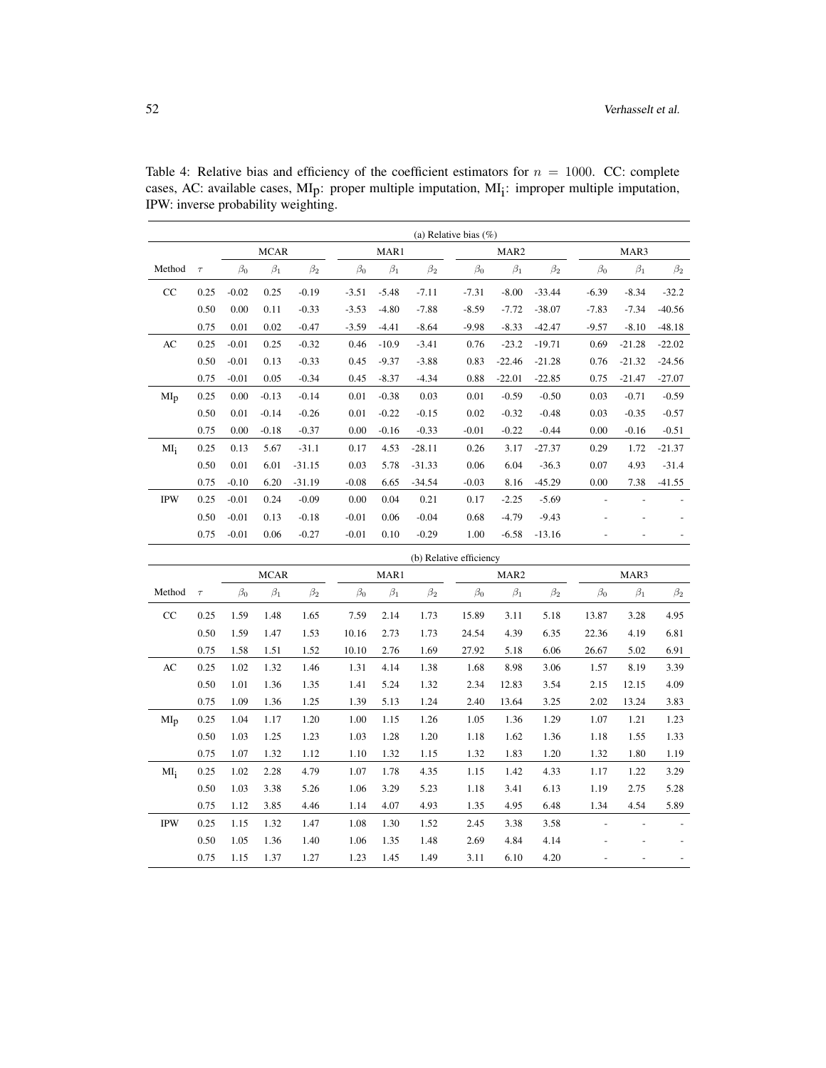|                 |        |           |             |           |           |           |           | (a) Relative bias $(\%)$ |                  |           |           |           |           |
|-----------------|--------|-----------|-------------|-----------|-----------|-----------|-----------|--------------------------|------------------|-----------|-----------|-----------|-----------|
|                 |        |           | <b>MCAR</b> |           |           | MAR1      |           |                          | MAR <sub>2</sub> |           |           | MAR3      |           |
| Method          | $\tau$ | $\beta_0$ | $\beta_1$   | $\beta_2$ | $\beta_0$ | $\beta_1$ | $\beta_2$ | $\beta_0$                | $\beta_1$        | $\beta_2$ | $\beta_0$ | $\beta_1$ | $\beta_2$ |
| CC              | 0.25   | $-0.02$   | 0.25        | $-0.19$   | $-3.51$   | $-5.48$   | $-7.11$   | $-7.31$                  | $-8.00$          | $-33.44$  | $-6.39$   | $-8.34$   | $-32.2$   |
|                 | 0.50   | 0.00      | 0.11        | $-0.33$   | $-3.53$   | $-4.80$   | $-7.88$   | $-8.59$                  | $-7.72$          | $-38.07$  | $-7.83$   | $-7.34$   | $-40.56$  |
|                 | 0.75   | 0.01      | 0.02        | $-0.47$   | $-3.59$   | $-4.41$   | $-8.64$   | $-9.98$                  | $-8.33$          | $-42.47$  | $-9.57$   | $-8.10$   | $-48.18$  |
| AC              | 0.25   | $-0.01$   | 0.25        | $-0.32$   | 0.46      | $-10.9$   | $-3.41$   | 0.76                     | $-23.2$          | $-19.71$  | 0.69      | $-21.28$  | $-22.02$  |
|                 | 0.50   | $-0.01$   | 0.13        | $-0.33$   | 0.45      | $-9.37$   | $-3.88$   | 0.83                     | $-22.46$         | $-21.28$  | 0.76      | $-21.32$  | $-24.56$  |
|                 | 0.75   | $-0.01$   | 0.05        | $-0.34$   | 0.45      | $-8.37$   | $-4.34$   | 0.88                     | $-22.01$         | $-22.85$  | 0.75      | $-21.47$  | $-27.07$  |
| MI <sub>D</sub> | 0.25   | 0.00      | $-0.13$     | $-0.14$   | 0.01      | $-0.38$   | 0.03      | 0.01                     | $-0.59$          | $-0.50$   | 0.03      | $-0.71$   | $-0.59$   |
|                 | 0.50   | 0.01      | $-0.14$     | $-0.26$   | 0.01      | $-0.22$   | $-0.15$   | 0.02                     | $-0.32$          | $-0.48$   | 0.03      | $-0.35$   | $-0.57$   |
|                 | 0.75   | 0.00      | $-0.18$     | $-0.37$   | 0.00      | $-0.16$   | $-0.33$   | $-0.01$                  | $-0.22$          | $-0.44$   | 0.00      | $-0.16$   | $-0.51$   |
| $MI_i$          | 0.25   | 0.13      | 5.67        | $-31.1$   | 0.17      | 4.53      | $-28.11$  | 0.26                     | 3.17             | $-27.37$  | 0.29      | 1.72      | $-21.37$  |
|                 | 0.50   | 0.01      | 6.01        | $-31.15$  | 0.03      | 5.78      | $-31.33$  | 0.06                     | 6.04             | $-36.3$   | 0.07      | 4.93      | $-31.4$   |
|                 | 0.75   | $-0.10$   | 6.20        | $-31.19$  | $-0.08$   | 6.65      | $-34.54$  | $-0.03$                  | 8.16             | $-45.29$  | 0.00      | 7.38      | $-41.55$  |
| <b>IPW</b>      | 0.25   | $-0.01$   | 0.24        | $-0.09$   | 0.00      | 0.04      | 0.21      | 0.17                     | $-2.25$          | $-5.69$   |           |           |           |
|                 | 0.50   | $-0.01$   | 0.13        | $-0.18$   | $-0.01$   | 0.06      | $-0.04$   | 0.68                     | $-4.79$          | $-9.43$   |           |           |           |
|                 | 0.75   | $-0.01$   | 0.06        | $-0.27$   | $-0.01$   | 0.10      | $-0.29$   | 1.00                     | $-6.58$          | $-13.16$  |           |           |           |

<span id="page-9-0"></span>Table 4: Relative bias and efficiency of the coefficient estimators for  $n = 1000$ . CC: complete cases, AC: available cases,  $Mlp$ : proper multiple imputation,  $Mlj$ : improper multiple imputation, IPW: inverse probability weighting.

|            |        |           | (b) Relative efficiency |           |           |           |           |           |                  |           |           |           |           |  |
|------------|--------|-----------|-------------------------|-----------|-----------|-----------|-----------|-----------|------------------|-----------|-----------|-----------|-----------|--|
|            |        |           | <b>MCAR</b>             |           |           | MAR1      |           |           | MAR <sub>2</sub> |           |           | MAR3      |           |  |
| Method     | $\tau$ | $\beta_0$ | $\beta_1$               | $\beta_2$ | $\beta_0$ | $\beta_1$ | $\beta_2$ | $\beta_0$ | $\beta_1$        | $\beta_2$ | $\beta_0$ | $\beta_1$ | $\beta_2$ |  |
| CC         | 0.25   | 1.59      | 1.48                    | 1.65      | 7.59      | 2.14      | 1.73      | 15.89     | 3.11             | 5.18      | 13.87     | 3.28      | 4.95      |  |
|            | 0.50   | 1.59      | 1.47                    | 1.53      | 10.16     | 2.73      | 1.73      | 24.54     | 4.39             | 6.35      | 22.36     | 4.19      | 6.81      |  |
|            | 0.75   | 1.58      | 1.51                    | 1.52      | 10.10     | 2.76      | 1.69      | 27.92     | 5.18             | 6.06      | 26.67     | 5.02      | 6.91      |  |
| AC         | 0.25   | 1.02      | 1.32                    | 1.46      | 1.31      | 4.14      | 1.38      | 1.68      | 8.98             | 3.06      | 1.57      | 8.19      | 3.39      |  |
|            | 0.50   | 1.01      | 1.36                    | 1.35      | 1.41      | 5.24      | 1.32      | 2.34      | 12.83            | 3.54      | 2.15      | 12.15     | 4.09      |  |
|            | 0.75   | 1.09      | 1.36                    | 1.25      | 1.39      | 5.13      | 1.24      | 2.40      | 13.64            | 3.25      | 2.02      | 13.24     | 3.83      |  |
| $MI_{D}$   | 0.25   | 1.04      | 1.17                    | 1.20      | 1.00      | 1.15      | 1.26      | 1.05      | 1.36             | 1.29      | 1.07      | 1.21      | 1.23      |  |
|            | 0.50   | 1.03      | 1.25                    | 1.23      | 1.03      | 1.28      | 1.20      | 1.18      | 1.62             | 1.36      | 1.18      | 1.55      | 1.33      |  |
|            | 0.75   | 1.07      | 1.32                    | 1.12      | 1.10      | 1.32      | 1.15      | 1.32      | 1.83             | 1.20      | 1.32      | 1.80      | 1.19      |  |
| $MI_i$     | 0.25   | 1.02      | 2.28                    | 4.79      | 1.07      | 1.78      | 4.35      | 1.15      | 1.42             | 4.33      | 1.17      | 1.22      | 3.29      |  |
|            | 0.50   | 1.03      | 3.38                    | 5.26      | 1.06      | 3.29      | 5.23      | 1.18      | 3.41             | 6.13      | 1.19      | 2.75      | 5.28      |  |
|            | 0.75   | 1.12      | 3.85                    | 4.46      | 1.14      | 4.07      | 4.93      | 1.35      | 4.95             | 6.48      | 1.34      | 4.54      | 5.89      |  |
| <b>IPW</b> | 0.25   | 1.15      | 1.32                    | 1.47      | 1.08      | 1.30      | 1.52      | 2.45      | 3.38             | 3.58      |           |           |           |  |
|            | 0.50   | 1.05      | 1.36                    | 1.40      | 1.06      | 1.35      | 1.48      | 2.69      | 4.84             | 4.14      |           |           |           |  |
|            | 0.75   | 1.15      | 1.37                    | 1.27      | 1.23      | 1.45      | 1.49      | 3.11      | 6.10             | 4.20      |           |           |           |  |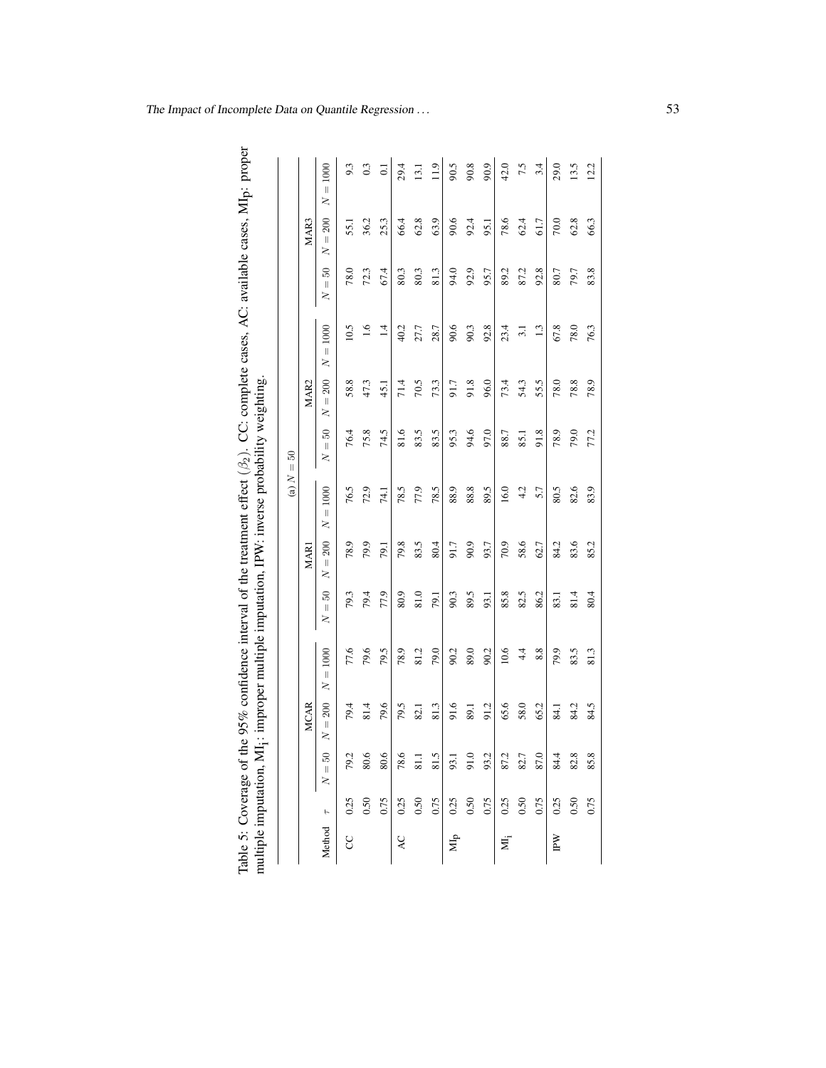| ľ                    |                                              |
|----------------------|----------------------------------------------|
|                      |                                              |
|                      |                                              |
|                      |                                              |
|                      |                                              |
|                      |                                              |
|                      |                                              |
|                      |                                              |
|                      |                                              |
|                      |                                              |
|                      | j<br> <br>                                   |
|                      |                                              |
| י<br>יל              |                                              |
|                      |                                              |
| l                    |                                              |
|                      |                                              |
|                      | יית המדה והד                                 |
|                      |                                              |
|                      |                                              |
|                      |                                              |
|                      |                                              |
|                      |                                              |
| 5                    | the property of the property of the contract |
|                      |                                              |
|                      |                                              |
|                      |                                              |
|                      |                                              |
|                      |                                              |
|                      |                                              |
|                      | l<br>$\frac{1}{1}$                           |
|                      |                                              |
| いっこう<br>$\mathbf{r}$ |                                              |
|                      |                                              |
| l                    | ultiple imp                                  |
|                      |                                              |
| $\frac{1}{2}$        |                                              |

<span id="page-10-0"></span>

|                           |      |          |                                       |                          |                           |                                           | (a) N                    | $50^{\circ}$<br>$\lvert \rvert$ |                             |                          |                           |                             |                                         |
|---------------------------|------|----------|---------------------------------------|--------------------------|---------------------------|-------------------------------------------|--------------------------|---------------------------------|-----------------------------|--------------------------|---------------------------|-----------------------------|-----------------------------------------|
|                           |      |          | <b>MCAR</b>                           |                          |                           | <b>MAR1</b>                               |                          |                                 | MAR <sub>2</sub>            |                          |                           | MAR3                        |                                         |
| Method $\tau$             |      | $N = 50$ | $\frac{200}{200}$<br>$\parallel$<br>Z | 1000<br>$\mid \mid$<br>ξ | S<br>$\lvert \rvert$<br>2 | $\frac{200}{200}$<br>$\lvert \rvert$<br>2 | 1000<br>$\mid \mid$<br>ξ | S<br>$\lvert \rvert$<br>2       | 200<br>$\lvert \rvert$<br>2 | 1000<br>$\mid \mid$<br>Z | Z<br>$\lvert \rvert$<br>2 | 200<br>$\lvert \rvert$<br>2 | 1000<br>$\left\vert {}\right\vert$<br>Z |
| g                         | 0.25 | 79.2     | 79.4                                  | 77.6                     | 79.3                      | 78.9                                      | 76.5                     | 76.4                            | 58.8                        | 10.5                     | 78.0                      | 55.1                        | 9.3                                     |
|                           | 0.50 | 80.6     | 81.4                                  | 79.6                     | 79.4                      | 79.9                                      | 72.9                     | 75.8                            | 47.3                        | 1.6                      | 72.3                      | 36.2                        | 0.3                                     |
|                           | 0.75 | 80.6     | 79.6                                  | 79.5                     | 77.9                      | 79.1                                      | 74.1                     | 74.5                            | 45.1                        | $\overline{14}$          | 67.4                      | 25.3                        | $\overline{c}$                          |
| Q                         | 0.25 | 78.6     | 79.5                                  | 78.9                     | 80.9                      | 79.8                                      | 78.5                     | 81.6                            | 71.4                        | 40.2                     | 80.3                      | 66.4                        | 29.4                                    |
|                           | 0.50 | 81.1     | 82.1                                  | 81.2                     | 81.0                      | 83.5                                      | 77.9                     | 83.5                            | 70.5                        | 27.7                     | 80.3                      | 62.8                        | 13.1                                    |
|                           | 0.75 | 81.5     | 81.3                                  | 79.0                     | 79.1                      | 80.4                                      | 78.5                     | 83.5                            | 73.3                        | 28.7                     | 81.3                      | 63.9                        | 11.9                                    |
| $\mathbf{M}_{\mathbf{p}}$ | 0.25 | 93.1     | 91.6                                  | 90.2                     | 90.3                      | 91.7                                      | 88.9                     | 95.3                            | 91.7                        | 90.6                     | 94.0                      | 90.6                        | 90.5                                    |
|                           | 0.50 | 91.0     | 89.1                                  | 89.0                     | 89.5                      | 90.9                                      | 88.8                     | 94.6                            | 91.8                        | 90.3                     | 92.9                      | 92.4                        | 90.8                                    |
|                           | 0.75 | 93.2     | 91.2                                  | 90.2                     | 93.1                      | 93.7                                      | 89.5                     | 97.0                            | 96.0                        | 92.8                     | 95.7                      | 95.1                        | 90.9                                    |
| Xij                       | 0.25 | 87.2     | 65.6                                  | 10.6                     | 85.8                      | 70.9                                      | 16.0                     | 88.7                            | 73.4                        | 23.4                     | 89.2                      | 78.6                        | 42.0                                    |
|                           | 0.50 | 82.7     | 58.0                                  | 4.4                      | 82.5                      | 58.6                                      | 4.2                      | 85.1                            | 54.3                        | $\overline{31}$          | 87.2                      | 62.4                        | 7.5                                     |
|                           | 0.75 | 87.0     | 65.2                                  | 8.8                      | 86.2                      | 62.7                                      | 5.7                      | 91.8                            | 55.5                        | 1.3                      | 92.8                      | 61.7                        | 3.4                                     |
| IPW                       | 0.25 | 84.4     | 84.1                                  | 79.9                     | 83.1                      | 84.2                                      | 80.5                     | 78.9                            | 78.0                        | 67.8                     | 80.7                      | 70.0                        | 29.0                                    |
|                           | 0.50 | 82.8     | 84.2                                  | 83.5                     | 81.4                      | 83.6                                      | 82.6                     | 79.0                            | 78.8                        | 78.0                     | 79.7                      | 62.8                        | 13.5                                    |
|                           | 0.75 | 85.8     | 84.5                                  | 81.3                     | 80.4                      | 85.2                                      | 83.9                     | 77.2                            | 78.9                        | 76.3                     | 83.8                      | 66.3                        | 12.2                                    |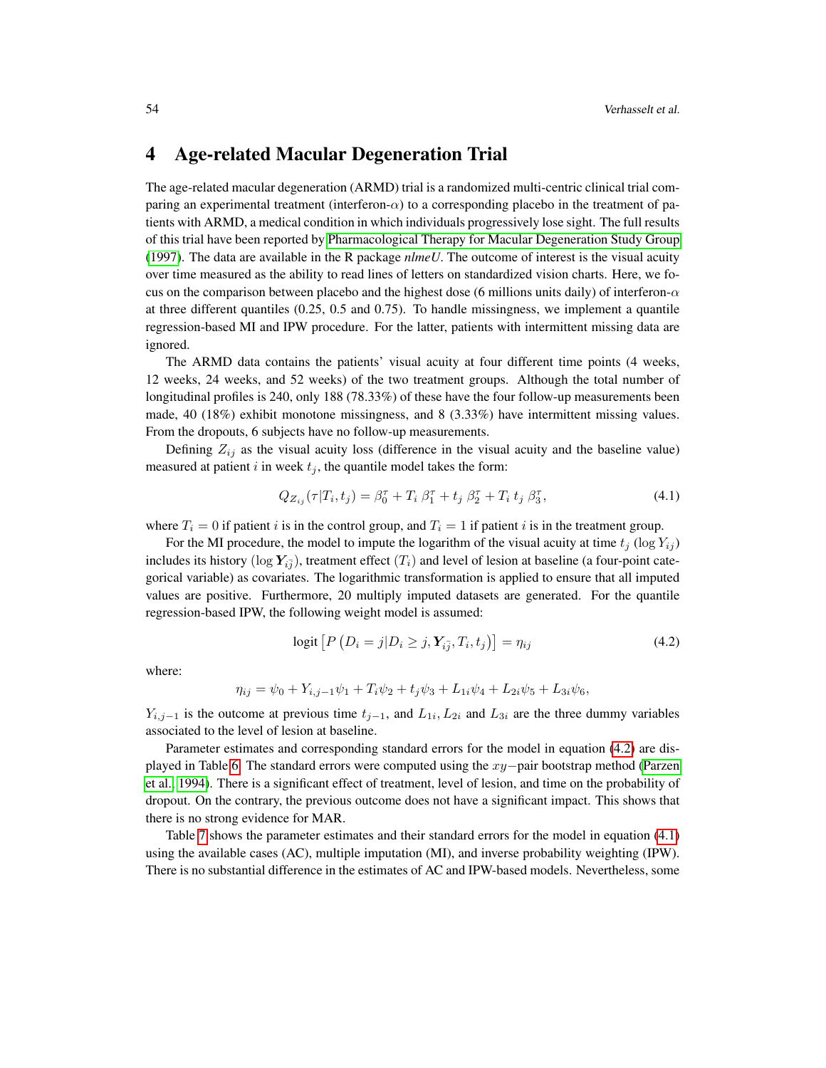### <span id="page-11-0"></span>4 Age-related Macular Degeneration Trial

The age-related macular degeneration (ARMD) trial is a randomized multi-centric clinical trial comparing an experimental treatment (interferon- $\alpha$ ) to a corresponding placebo in the treatment of patients with ARMD, a medical condition in which individuals progressively lose sight. The full results of this trial have been reported by [Pharmacological Therapy for Macular Degeneration Study Group](#page-14-11) [\(1997\)](#page-14-11). The data are available in the R package *nlmeU*. The outcome of interest is the visual acuity over time measured as the ability to read lines of letters on standardized vision charts. Here, we focus on the comparison between placebo and the highest dose (6 millions units daily) of interferon- $\alpha$ at three different quantiles (0.25, 0.5 and 0.75). To handle missingness, we implement a quantile regression-based MI and IPW procedure. For the latter, patients with intermittent missing data are ignored.

The ARMD data contains the patients' visual acuity at four different time points (4 weeks, 12 weeks, 24 weeks, and 52 weeks) of the two treatment groups. Although the total number of longitudinal profiles is 240, only 188 (78.33%) of these have the four follow-up measurements been made, 40 (18%) exhibit monotone missingness, and 8 (3.33%) have intermittent missing values. From the dropouts, 6 subjects have no follow-up measurements.

Defining  $Z_{ij}$  as the visual acuity loss (difference in the visual acuity and the baseline value) measured at patient i in week  $t_j$ , the quantile model takes the form:

<span id="page-11-2"></span>
$$
Q_{Z_{ij}}(\tau | T_i, t_j) = \beta_0^{\tau} + T_i \beta_1^{\tau} + t_j \beta_2^{\tau} + T_i t_j \beta_3^{\tau}, \qquad (4.1)
$$

where  $T_i = 0$  if patient i is in the control group, and  $T_i = 1$  if patient i is in the treatment group.

For the MI procedure, the model to impute the logarithm of the visual acuity at time  $t_i$  (log  $Y_{ij}$ ) includes its history ( $\log Y_{i\bar{j}}$ ), treatment effect  $(T_i)$  and level of lesion at baseline (a four-point categorical variable) as covariates. The logarithmic transformation is applied to ensure that all imputed values are positive. Furthermore, 20 multiply imputed datasets are generated. For the quantile regression-based IPW, the following weight model is assumed:

<span id="page-11-1"></span>
$$
logit [P (Di = j | Di \ge j, Yi\bar{j}, Ti, tj)] = \etaij
$$
\n(4.2)

where:

$$
\eta_{ij} = \psi_0 + Y_{i,j-1}\psi_1 + T_i\psi_2 + t_j\psi_3 + L_{1i}\psi_4 + L_{2i}\psi_5 + L_{3i}\psi_6,
$$

 $Y_{i,j-1}$  is the outcome at previous time  $t_{j-1}$ , and  $L_{1i}$ ,  $L_{2i}$  and  $L_{3i}$  are the three dummy variables associated to the level of lesion at baseline.

Parameter estimates and corresponding standard errors for the model in equation [\(4.2\)](#page-11-1) are displayed in Table [6.](#page-12-1) The standard errors were computed using the xy−pair bootstrap method [\(Parzen](#page-14-12) [et al., 1994\)](#page-14-12). There is a significant effect of treatment, level of lesion, and time on the probability of dropout. On the contrary, the previous outcome does not have a significant impact. This shows that there is no strong evidence for MAR.

Table [7](#page-12-2) shows the parameter estimates and their standard errors for the model in equation [\(4.1\)](#page-11-2) using the available cases (AC), multiple imputation (MI), and inverse probability weighting (IPW). There is no substantial difference in the estimates of AC and IPW-based models. Nevertheless, some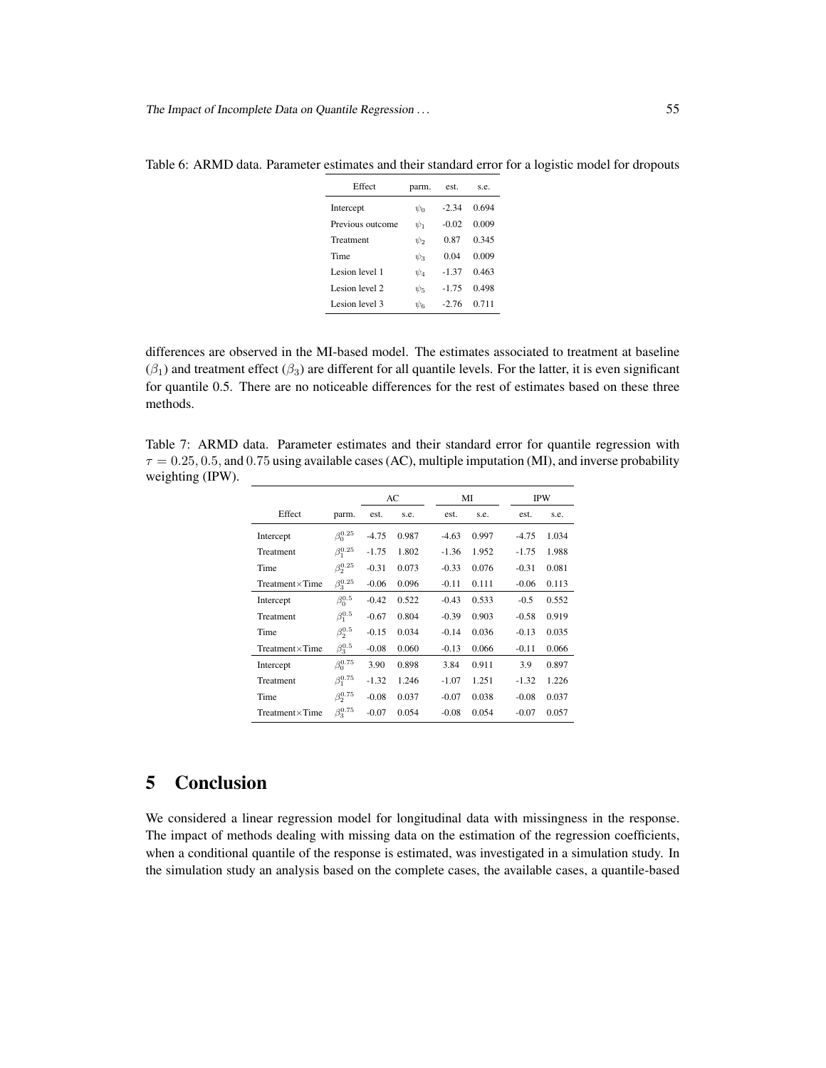| Effect           | parm.    | est.    | s.e.  |
|------------------|----------|---------|-------|
| Intercept        | $\psi_0$ | $-2.34$ | 0.694 |
| Previous outcome | $\psi_1$ | $-0.02$ | 0.009 |
| Treatment        | $\psi_2$ | 0.87    | 0.345 |
| Time             | $\psi_3$ | 0.04    | 0.009 |
| Lesion level 1   | $\psi_4$ | $-1.37$ | 0.463 |
| Lesion level 2   | $\psi_5$ | $-1.75$ | 0.498 |
| Lesion level 3   | $\psi_6$ | $-2.76$ | 0.711 |

<span id="page-12-1"></span>Table 6: ARMD data. Parameter estimates and their standard error for a logistic model for dropouts

differences are observed in the MI-based model. The estimates associated to treatment at baseline  $(\beta_1)$  and treatment effect  $(\beta_3)$  are different for all quantile levels. For the latter, it is even significant for quantile 0.5. There are no noticeable differences for the rest of estimates based on these three methods.

<span id="page-12-2"></span>Table 7: ARMD data. Parameter estimates and their standard error for quantile regression with  $\tau = 0.25, 0.5,$  and 0.75 using available cases (AC), multiple imputation (MI), and inverse probability weighting (IPW). 

|                         |                  | AC      |       |         | MI    | <b>IPW</b> |       |  |
|-------------------------|------------------|---------|-------|---------|-------|------------|-------|--|
| Effect                  | parm.            | est.    | s.e.  | est.    | s.e.  | est.       | s.e.  |  |
| Intercept               | $\beta_0^{0.25}$ | $-4.75$ | 0.987 | $-4.63$ | 0.997 | $-4.75$    | 1.034 |  |
| Treatment               | $\beta_1^{0.25}$ | $-1.75$ | 1.802 | $-1.36$ | 1.952 | $-1.75$    | 1.988 |  |
| Time                    | $\beta_2^{0.25}$ | $-0.31$ | 0.073 | $-0.33$ | 0.076 | $-0.31$    | 0.081 |  |
| $Treatment \times Time$ | $\beta_3^{0.25}$ | $-0.06$ | 0.096 | $-0.11$ | 0.111 | $-0.06$    | 0.113 |  |
| Intercept               | $\beta_0^{0.5}$  | $-0.42$ | 0.522 | $-0.43$ | 0.533 | $-0.5$     | 0.552 |  |
| Treatment               | $\beta_1^{0.5}$  | $-0.67$ | 0.804 | $-0.39$ | 0.903 | $-0.58$    | 0.919 |  |
| Time                    | $\beta_2^{0.5}$  | $-0.15$ | 0.034 | $-0.14$ | 0.036 | $-0.13$    | 0.035 |  |
| $Treatment \times Time$ | $\beta_3^{0.5}$  | $-0.08$ | 0.060 | $-0.13$ | 0.066 | $-0.11$    | 0.066 |  |
| Intercept               | $\beta_0^{0.75}$ | 3.90    | 0.898 | 3.84    | 0.911 | 3.9        | 0.897 |  |
| Treatment               | $\beta_1^{0.75}$ | $-1.32$ | 1.246 | $-1.07$ | 1.251 | $-1.32$    | 1.226 |  |
| Time                    | $\beta_2^{0.75}$ | $-0.08$ | 0.037 | $-0.07$ | 0.038 | $-0.08$    | 0.037 |  |
| $Treatment \times Time$ | $\beta_3^{0.75}$ | $-0.07$ | 0.054 | $-0.08$ | 0.054 | $-0.07$    | 0.057 |  |

# <span id="page-12-0"></span>5 Conclusion

We considered a linear regression model for longitudinal data with missingness in the response. The impact of methods dealing with missing data on the estimation of the regression coefficients, when a conditional quantile of the response is estimated, was investigated in a simulation study. In the simulation study an analysis based on the complete cases, the available cases, a quantile-based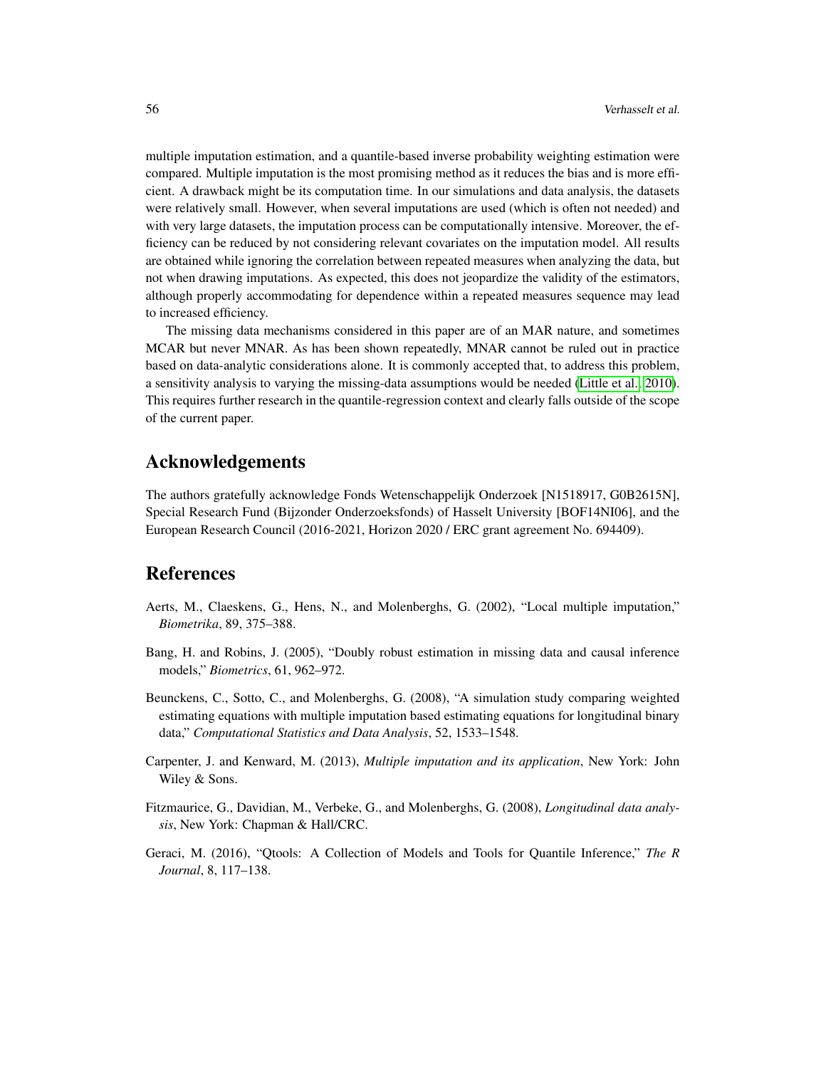multiple imputation estimation, and a quantile-based inverse probability weighting estimation were compared. Multiple imputation is the most promising method as it reduces the bias and is more efficient. A drawback might be its computation time. In our simulations and data analysis, the datasets were relatively small. However, when several imputations are used (which is often not needed) and with very large datasets, the imputation process can be computationally intensive. Moreover, the efficiency can be reduced by not considering relevant covariates on the imputation model. All results are obtained while ignoring the correlation between repeated measures when analyzing the data, but not when drawing imputations. As expected, this does not jeopardize the validity of the estimators, although properly accommodating for dependence within a repeated measures sequence may lead to increased efficiency.

The missing data mechanisms considered in this paper are of an MAR nature, and sometimes MCAR but never MNAR. As has been shown repeatedly, MNAR cannot be ruled out in practice based on data-analytic considerations alone. It is commonly accepted that, to address this problem, a sensitivity analysis to varying the missing-data assumptions would be needed [\(Little et al., 2010\)](#page-14-13). This requires further research in the quantile-regression context and clearly falls outside of the scope of the current paper.

# Acknowledgements

The authors gratefully acknowledge Fonds Wetenschappelijk Onderzoek [N1518917, G0B2615N], Special Research Fund (Bijzonder Onderzoeksfonds) of Hasselt University [BOF14NI06], and the European Research Council (2016-2021, Horizon 2020 / ERC grant agreement No. 694409).

# References

- <span id="page-13-1"></span>Aerts, M., Claeskens, G., Hens, N., and Molenberghs, G. (2002), "Local multiple imputation," *Biometrika*, 89, 375–388.
- <span id="page-13-5"></span>Bang, H. and Robins, J. (2005), "Doubly robust estimation in missing data and causal inference models," *Biometrics*, 61, 962–972.
- <span id="page-13-3"></span>Beunckens, C., Sotto, C., and Molenberghs, G. (2008), "A simulation study comparing weighted estimating equations with multiple imputation based estimating equations for longitudinal binary data," *Computational Statistics and Data Analysis*, 52, 1533–1548.
- <span id="page-13-2"></span>Carpenter, J. and Kenward, M. (2013), *Multiple imputation and its application*, New York: John Wiley & Sons.
- <span id="page-13-0"></span>Fitzmaurice, G., Davidian, M., Verbeke, G., and Molenberghs, G. (2008), *Longitudinal data analysis*, New York: Chapman & Hall/CRC.
- <span id="page-13-4"></span>Geraci, M. (2016), "Qtools: A Collection of Models and Tools for Quantile Inference," *The R Journal*, 8, 117–138.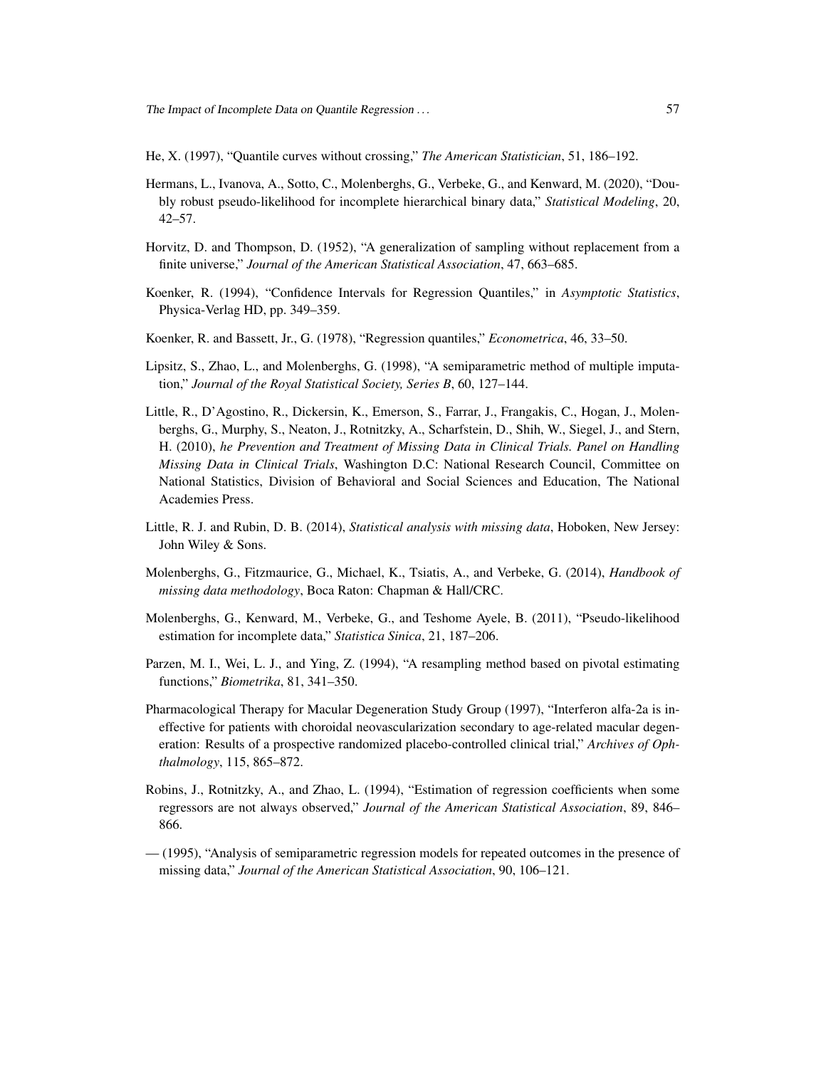<span id="page-14-7"></span>He, X. (1997), "Quantile curves without crossing," *The American Statistician*, 51, 186–192.

- <span id="page-14-10"></span>Hermans, L., Ivanova, A., Sotto, C., Molenberghs, G., Verbeke, G., and Kenward, M. (2020), "Doubly robust pseudo-likelihood for incomplete hierarchical binary data," *Statistical Modeling*, 20, 42–57.
- <span id="page-14-2"></span>Horvitz, D. and Thompson, D. (1952), "A generalization of sampling without replacement from a finite universe," *Journal of the American Statistical Association*, 47, 663–685.
- <span id="page-14-8"></span>Koenker, R. (1994), "Confidence Intervals for Regression Quantiles," in *Asymptotic Statistics*, Physica-Verlag HD, pp. 349–359.
- <span id="page-14-6"></span>Koenker, R. and Bassett, Jr., G. (1978), "Regression quantiles," *Econometrica*, 46, 33–50.
- <span id="page-14-5"></span>Lipsitz, S., Zhao, L., and Molenberghs, G. (1998), "A semiparametric method of multiple imputation," *Journal of the Royal Statistical Society, Series B*, 60, 127–144.
- <span id="page-14-13"></span>Little, R., D'Agostino, R., Dickersin, K., Emerson, S., Farrar, J., Frangakis, C., Hogan, J., Molenberghs, G., Murphy, S., Neaton, J., Rotnitzky, A., Scharfstein, D., Shih, W., Siegel, J., and Stern, H. (2010), *he Prevention and Treatment of Missing Data in Clinical Trials. Panel on Handling Missing Data in Clinical Trials*, Washington D.C: National Research Council, Committee on National Statistics, Division of Behavioral and Social Sciences and Education, The National Academies Press.
- <span id="page-14-0"></span>Little, R. J. and Rubin, D. B. (2014), *Statistical analysis with missing data*, Hoboken, New Jersey: John Wiley & Sons.
- <span id="page-14-1"></span>Molenberghs, G., Fitzmaurice, G., Michael, K., Tsiatis, A., and Verbeke, G. (2014), *Handbook of missing data methodology*, Boca Raton: Chapman & Hall/CRC.
- <span id="page-14-9"></span>Molenberghs, G., Kenward, M., Verbeke, G., and Teshome Ayele, B. (2011), "Pseudo-likelihood estimation for incomplete data," *Statistica Sinica*, 21, 187–206.
- <span id="page-14-12"></span>Parzen, M. I., Wei, L. J., and Ying, Z. (1994), "A resampling method based on pivotal estimating functions," *Biometrika*, 81, 341–350.
- <span id="page-14-11"></span>Pharmacological Therapy for Macular Degeneration Study Group (1997), "Interferon alfa-2a is ineffective for patients with choroidal neovascularization secondary to age-related macular degeneration: Results of a prospective randomized placebo-controlled clinical trial," *Archives of Ophthalmology*, 115, 865–872.
- <span id="page-14-3"></span>Robins, J., Rotnitzky, A., and Zhao, L. (1994), "Estimation of regression coefficients when some regressors are not always observed," *Journal of the American Statistical Association*, 89, 846– 866.
- <span id="page-14-4"></span>— (1995), "Analysis of semiparametric regression models for repeated outcomes in the presence of missing data," *Journal of the American Statistical Association*, 90, 106–121.